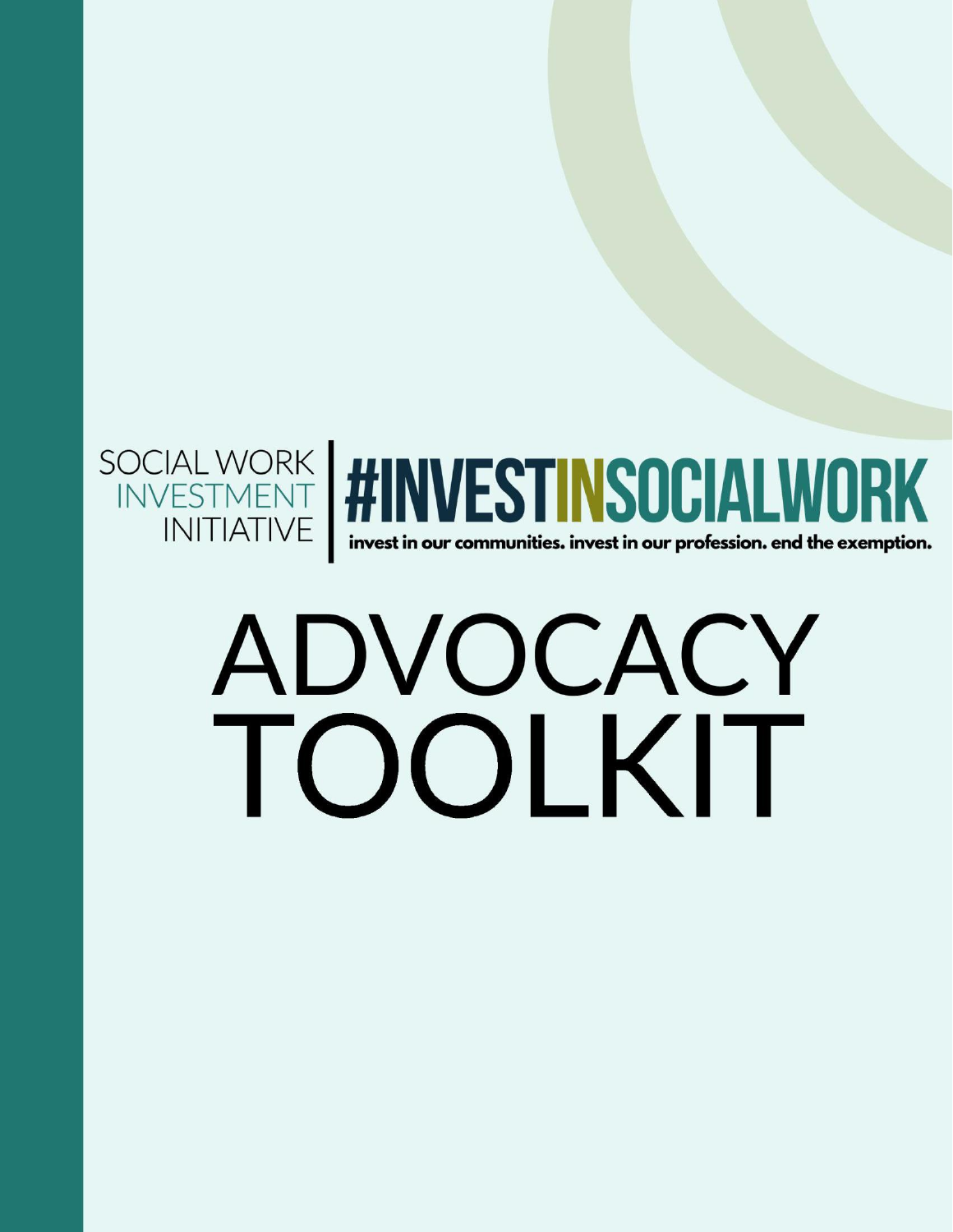

## ADVOCACY TOOLKIT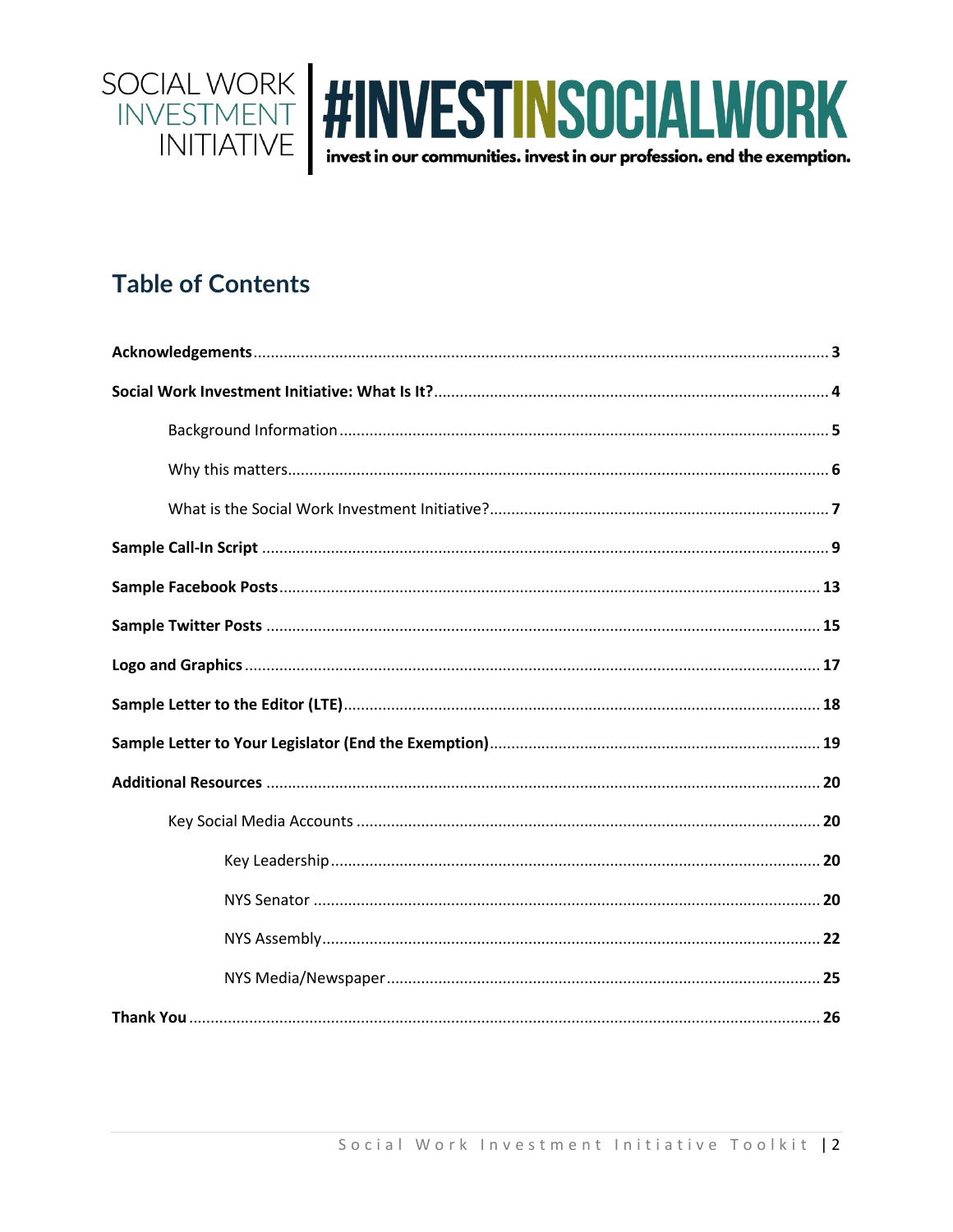

## **Table of Contents**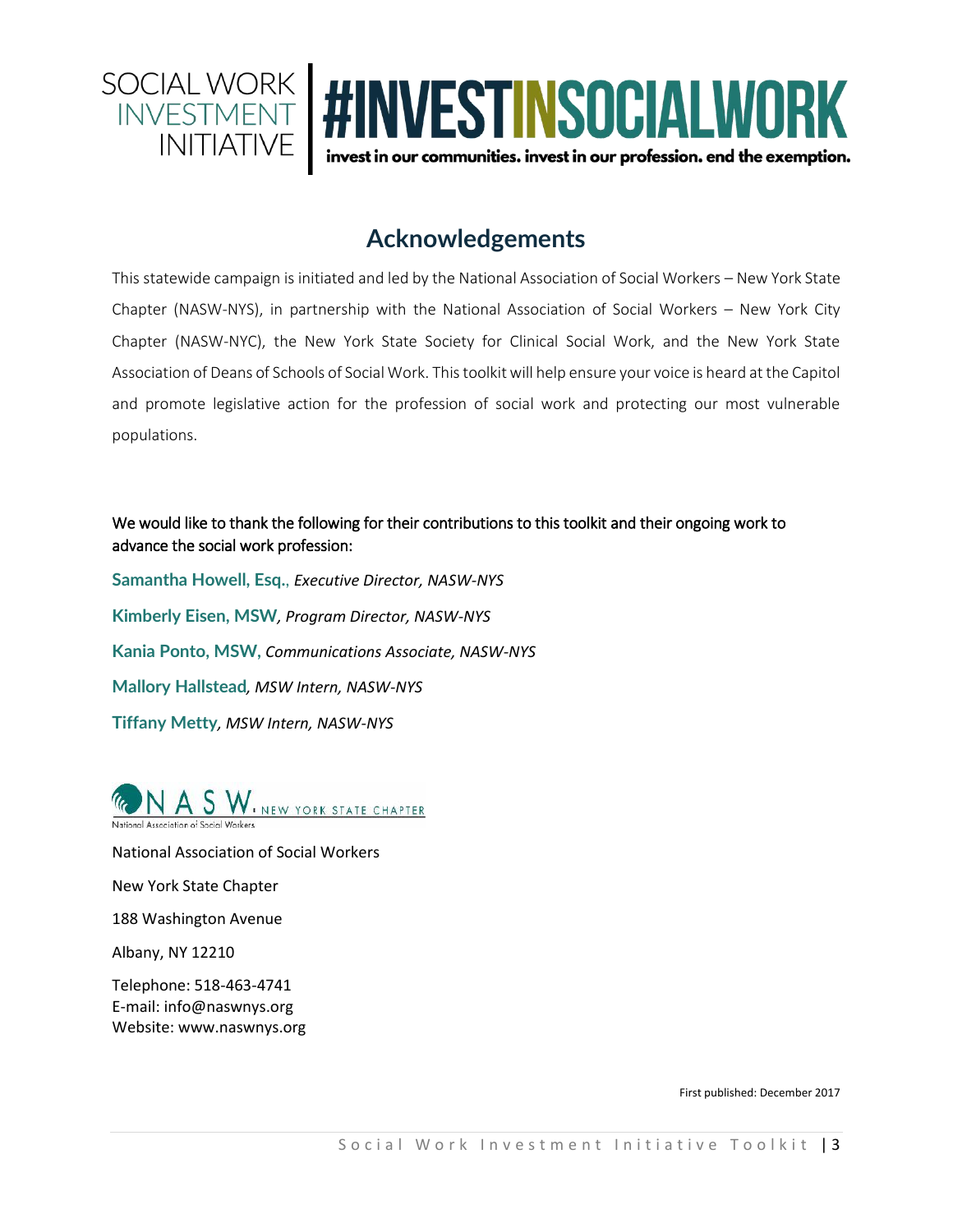

## **Acknowledgements**

This statewide campaign is initiated and led by the National Association of Social Workers – New York State Chapter (NASW-NYS), in partnership with the National Association of Social Workers – New York City Chapter (NASW-NYC), the New York State Society for Clinical Social Work, and the New York State Association of Deans of Schools of Social Work. This toolkit will help ensure your voice is heard at the Capitol and promote legislative action for the profession of social work and protecting our most vulnerable populations.

#### We would like to thank the following for their contributions to this toolkit and their ongoing work to advance the social work profession:

**Samantha Howell, Esq.**, *Executive Director, NASW-NYS* **Kimberly Eisen, MSW***, Program Director, NASW-NYS* **Kania Ponto, MSW,** *Communications Associate, NASW-NYS* **Mallory Hallstead***, MSW Intern, NASW-NYS* **Tiffany Metty***, MSW Intern, NASW-NYS*



National Association of Social Workers New York State Chapter 188 Washington Avenue

Albany, NY 12210

Telephone: 518-463-4741 E-mail: info@naswnys.org Website: www.naswnys.org

First published: December 2017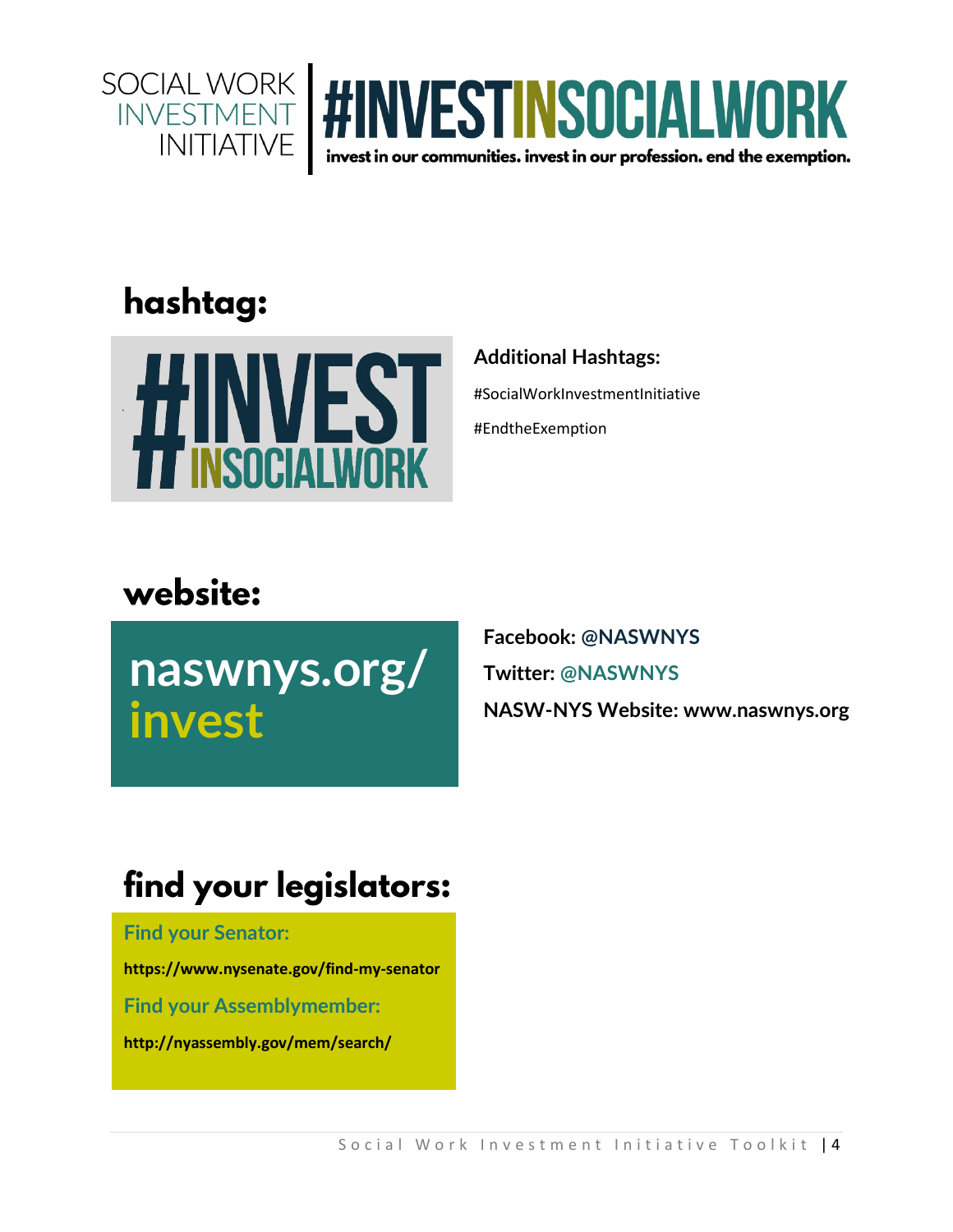



## hashtag:



## **Additional Hashtags:**

#SocialWorkInvestmentInitiative

#EndtheExemption

## website:

**naswnys.org/ invest**

**Facebook: @NASWNYS Twitter: @NASWNYS NASW-NYS Website: [www.naswnys.org](http://www.naswnys.org/)**

## find your legislators:

**Find your Senator:** 

**<https://www.nysenate.gov/find-my-senator>**

**Find your Assemblymember:** 

**<http://nyassembly.gov/mem/search/>**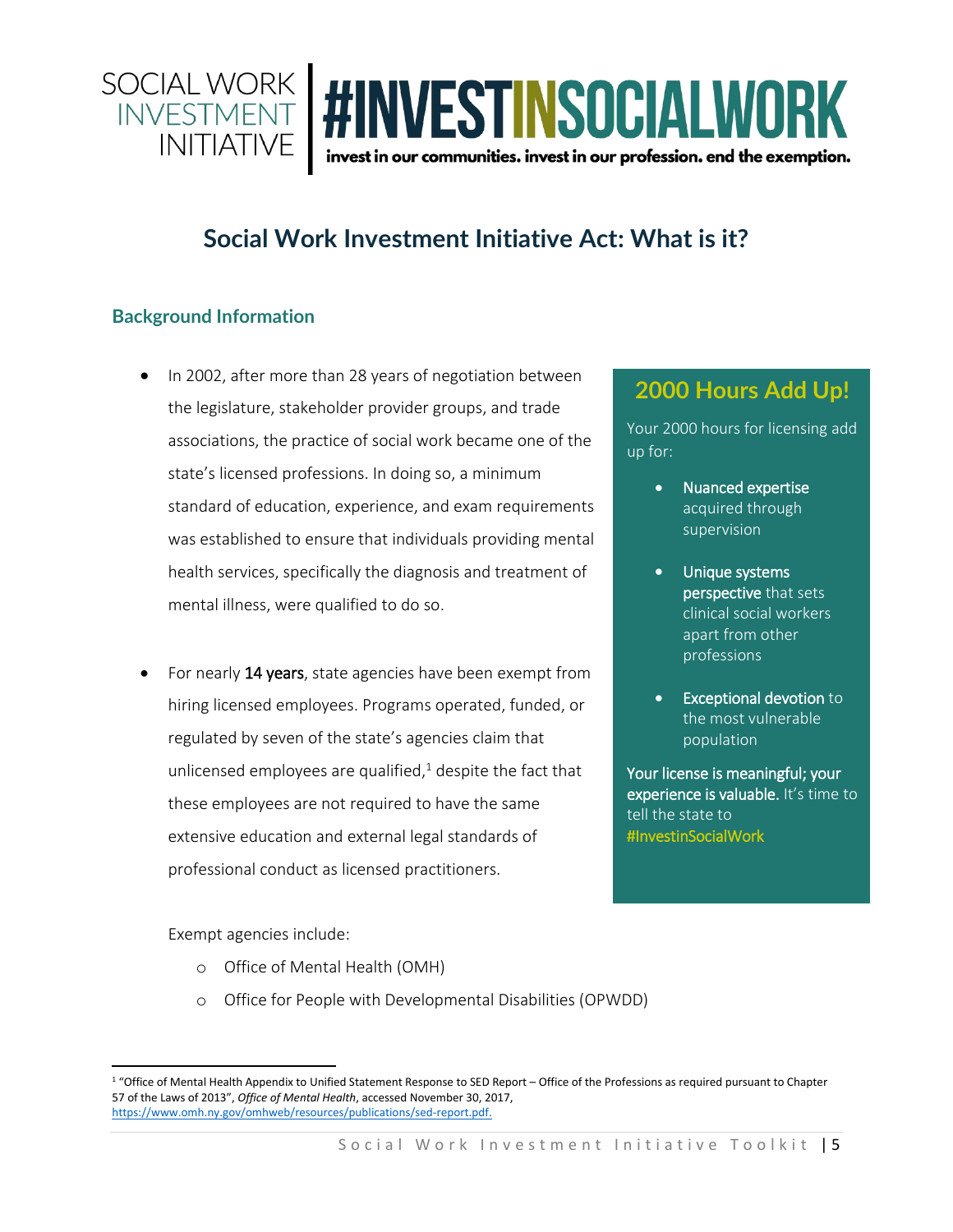

## **Social Work Investment Initiative Act: What is it?**

### **Background Information**

- In 2002, after more than 28 years of negotiation between the legislature, stakeholder provider groups, and trade associations, the practice of social work became one of the state's licensed professions. In doing so, a minimum standard of education, experience, and exam requirements was established to ensure that individuals providing mental health services, specifically the diagnosis and treatment of mental illness, were qualified to do so.
- For nearly 14 years, state agencies have been exempt from hiring licensed employees. Programs operated, funded, or regulated by seven of the state's agencies claim that unlicensed employees are qualified, $^{1}$  despite the fact that these employees are not required to have the same extensive education and external legal standards of professional conduct as licensed practitioners.

**2000 Hours Add Up!**

Your 2000 hours for licensing add up for:

- Nuanced expertise acquired through supervision
- Unique systems perspective that sets clinical social workers apart from other professions
- Exceptional devotion to the most vulnerable population

Your license is meaningful; your experience is valuable. It's time to tell the state to #InvestinSocialWork

Exempt agencies include:

 $\overline{\phantom{a}}$ 

- o Office of Mental Health (OMH)
- o Office for People with Developmental Disabilities (OPWDD)

<sup>&</sup>lt;sup>1</sup> "Office of Mental Health Appendix to Unified Statement Response to SED Report – Office of the Professions as required pursuant to Chapter 57 of the Laws of 2013", *Office of Mental Health*, accessed November 30, 2017, [https://www.omh.ny.gov/omhweb/resources/publications/sed-report.pdf.](https://www.omh.ny.gov/omhweb/resources/publications/sed-report.pdf)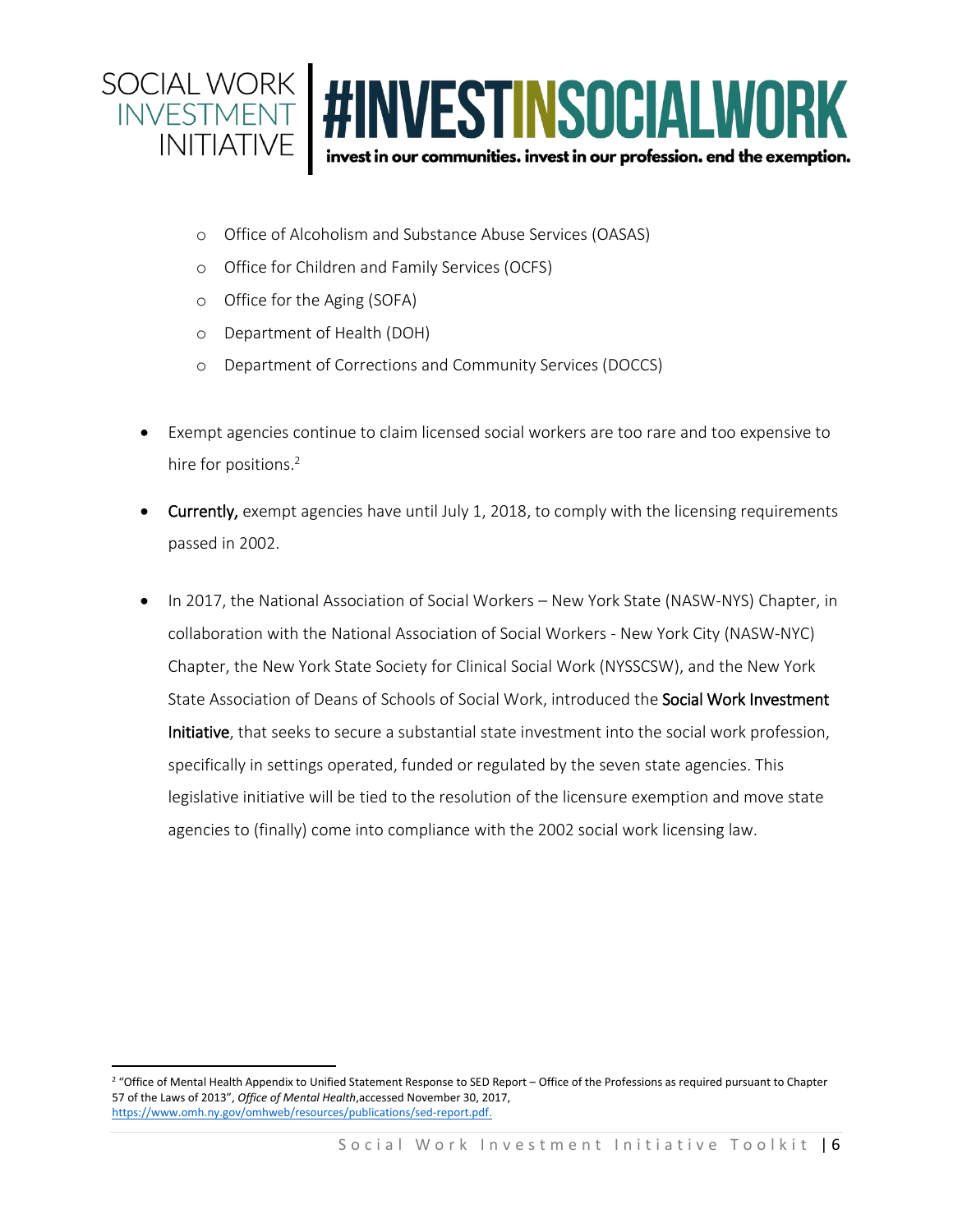

- o Office of Alcoholism and Substance Abuse Services (OASAS)
- o Office for Children and Family Services (OCFS)
- o Office for the Aging (SOFA)
- o Department of Health (DOH)
- o Department of Corrections and Community Services (DOCCS)
- Exempt agencies continue to claim licensed social workers are too rare and too expensive to hire for positions.<sup>2</sup>
- **Currently,** exempt agencies have until July 1, 2018, to comply with the licensing requirements passed in 2002.
- In 2017, the National Association of Social Workers New York State (NASW-NYS) Chapter, in collaboration with the National Association of Social Workers - New York City (NASW-NYC) Chapter, the New York State Society for Clinical Social Work (NYSSCSW), and the New York State Association of Deans of Schools of Social Work, introduced the Social Work Investment Initiative, that seeks to secure a substantial state investment into the social work profession, specifically in settings operated, funded or regulated by the seven state agencies. This legislative initiative will be tied to the resolution of the licensure exemption and move state agencies to (finally) come into compliance with the 2002 social work licensing law.

 $\overline{\phantom{a}}$ <sup>2</sup> "Office of Mental Health Appendix to Unified Statement Response to SED Report – Office of the Professions as required pursuant to Chapter 57 of the Laws of 2013", *Office of Mental Health*,accessed November 30, 2017, [https://www.omh.ny.gov/omhweb/resources/publications/sed-report.pdf.](https://www.omh.ny.gov/omhweb/resources/publications/sed-report.pdf)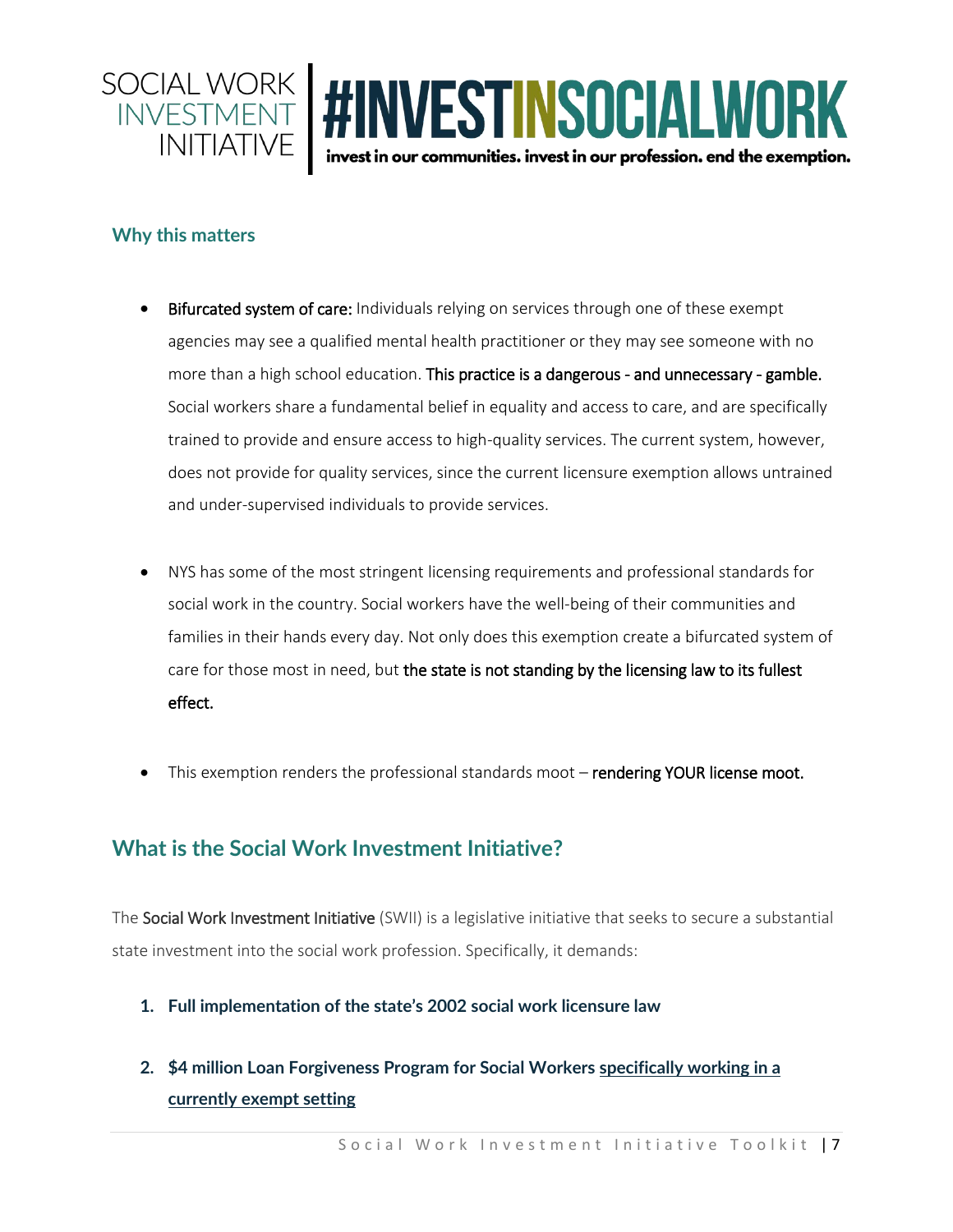

#### **Why this matters**

- **Bifurcated system of care:** Individuals relying on services through one of these exempt agencies may see a qualified mental health practitioner or they may see someone with no more than a high school education. This practice is a dangerous - and unnecessary - gamble. Social workers share a fundamental belief in equality and access to care, and are specifically trained to provide and ensure access to high-quality services. The current system, however, does not provide for quality services, since the current licensure exemption allows untrained and under-supervised individuals to provide services.
- NYS has some of the most stringent licensing requirements and professional standards for social work in the country. Social workers have the well-being of their communities and families in their hands every day. Not only does this exemption create a bifurcated system of care for those most in need, but the state is not standing by the licensing law to its fullest effect.
- This exemption renders the professional standards moot rendering YOUR license moot.

## **What is the Social Work Investment Initiative?**

The Social Work Investment Initiative (SWII) is a legislative initiative that seeks to secure a substantial state investment into the social work profession. Specifically, it demands:

- **1. Full implementation of the state's 2002 social work licensure law**
- **2. \$4 million Loan Forgiveness Program for Social Workers specifically working in a currently exempt setting**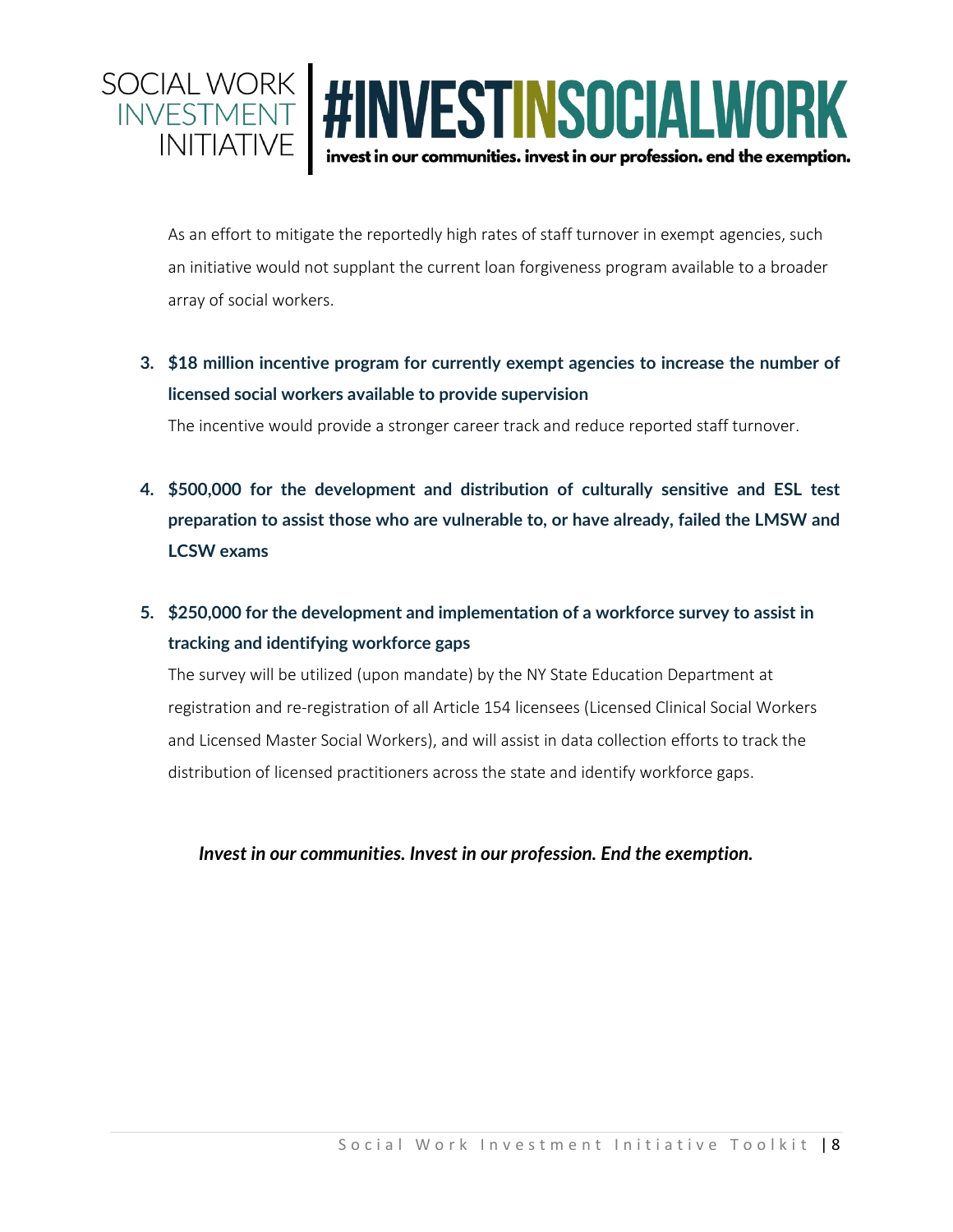

As an effort to mitigate the reportedly high rates of staff turnover in exempt agencies, such an initiative would not supplant the current loan forgiveness program available to a broader array of social workers.

**3. \$18 million incentive program for currently exempt agencies to increase the number of licensed social workers available to provide supervision**

The incentive would provide a stronger career track and reduce reported staff turnover.

- **4. \$500,000 for the development and distribution of culturally sensitive and ESL test preparation to assist those who are vulnerable to, or have already, failed the LMSW and LCSW exams**
- **5. \$250,000 for the development and implementation of a workforce survey to assist in tracking and identifying workforce gaps**

The survey will be utilized (upon mandate) by the NY State Education Department at registration and re-registration of all Article 154 licensees (Licensed Clinical Social Workers and Licensed Master Social Workers), and will assist in data collection efforts to track the distribution of licensed practitioners across the state and identify workforce gaps.

#### *Invest in our communities. Invest in our profession. End the exemption.*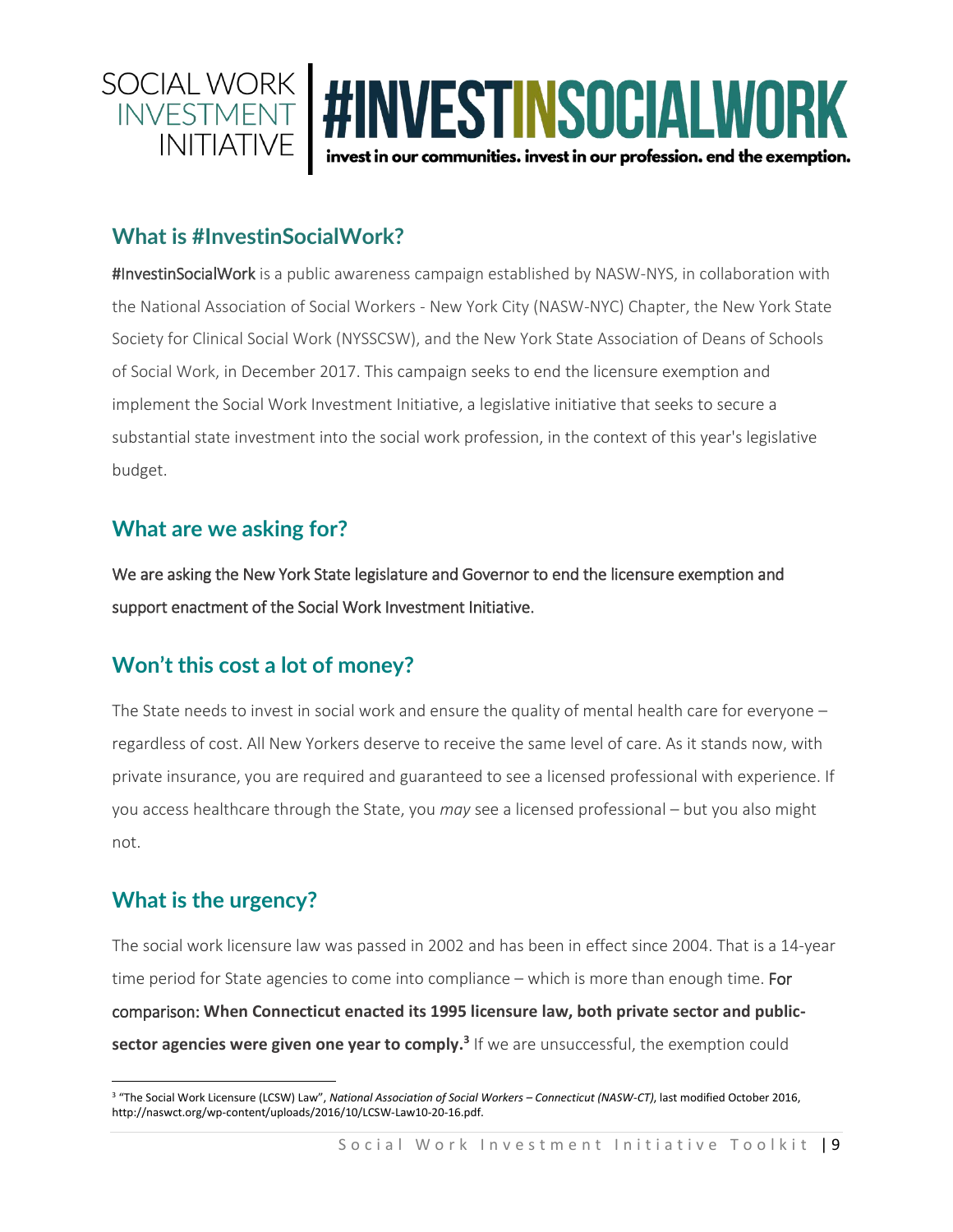

### **What is #InvestinSocialWork?**

#InvestinSocialWork is a public awareness campaign established by NASW-NYS, in collaboration with the National Association of Social Workers - New York City (NASW-NYC) Chapter, the New York State Society for Clinical Social Work (NYSSCSW), and the New York State Association of Deans of Schools of Social Work, in December 2017. This campaign seeks to end the licensure exemption and implement the Social Work Investment Initiative, a legislative initiative that seeks to secure a substantial state investment into the social work profession, in the context of this year's legislative budget.

## **What are we asking for?**

We are asking the New York State legislature and Governor to end the licensure exemption and support enactment of the Social Work Investment Initiative.

## **Won't this cost a lot of money?**

The State needs to invest in social work and ensure the quality of mental health care for everyone regardless of cost. All New Yorkers deserve to receive the same level of care. As it stands now, with private insurance, you are required and guaranteed to see a licensed professional with experience. If you access healthcare through the State, you *may* see a licensed professional – but you also might not.

## **What is the urgency?**

The social work licensure law was passed in 2002 and has been in effect since 2004. That is a 14-year time period for State agencies to come into compliance – which is more than enough time. For comparison: **When Connecticut enacted its 1995 licensure law, both private sector and publicsector agencies were given one year to comply. 3** If we are unsuccessful, the exemption could

 $\overline{\phantom{a}}$ <sup>3</sup> "The Social Work Licensure (LCSW) Law", *National Association of Social Workers - Connecticut (NASW-CT)*, last modified October 2016, http://naswct.org/wp-content/uploads/2016/10/LCSW-Law10-20-16.pdf.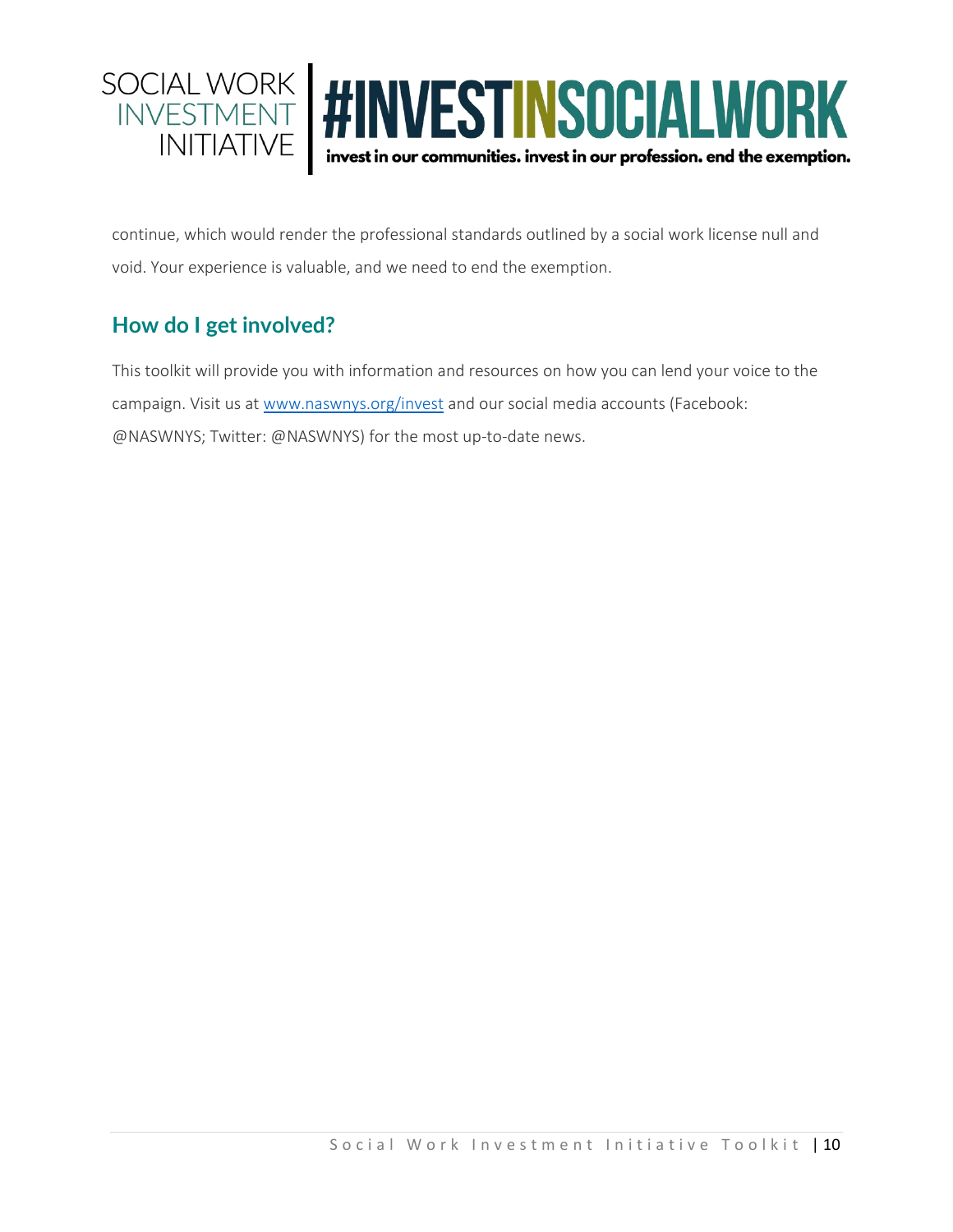

continue, which would render the professional standards outlined by a social work license null and void. Your experience is valuable, and we need to end the exemption.

## **How do I get involved?**

This toolkit will provide you with information and resources on how you can lend your voice to the campaign. Visit us at [www.naswnys.org/invest](http://www.naswnys.org/invest) and our social media accounts (Facebook: @NASWNYS; Twitter: @NASWNYS) for the most up-to-date news.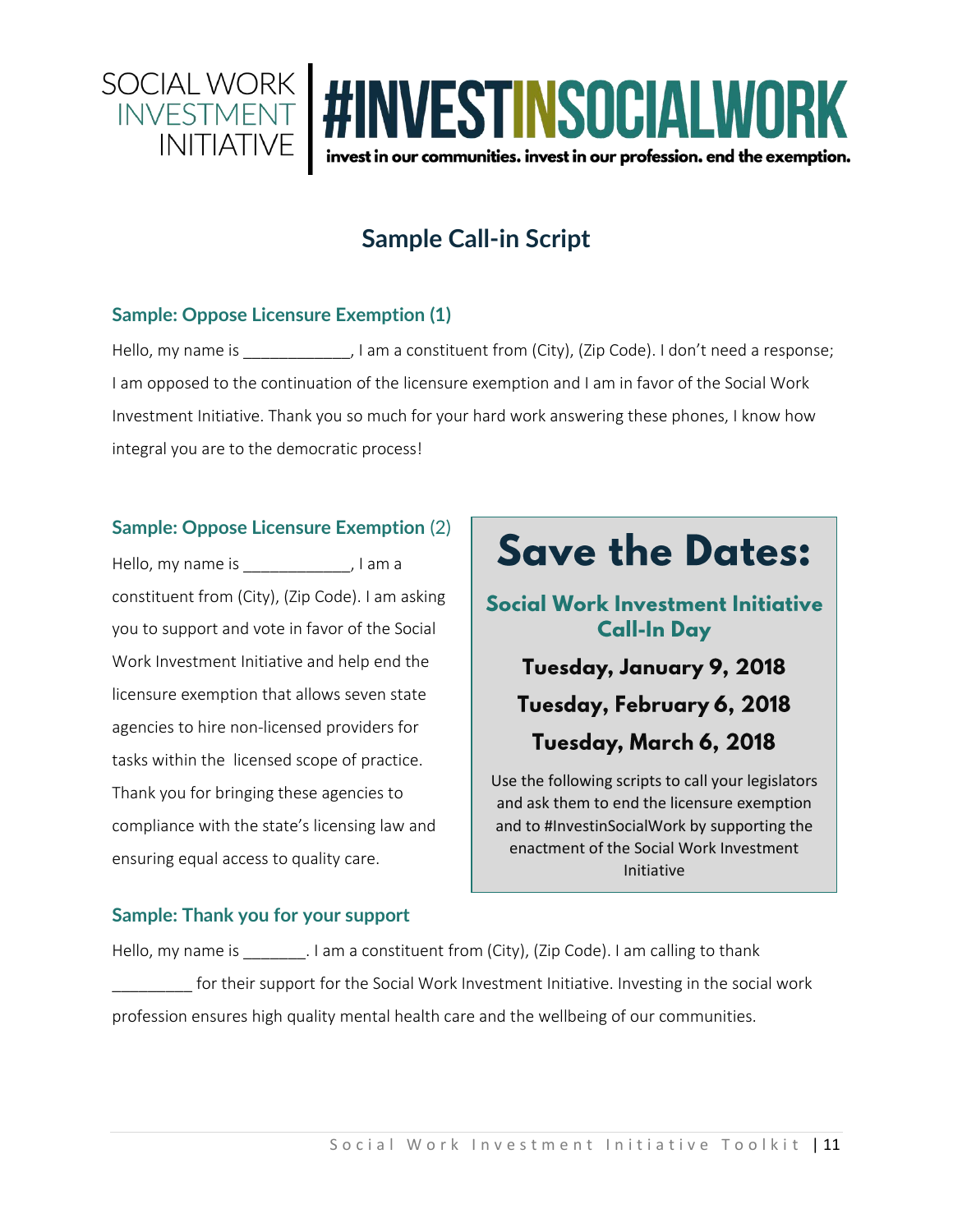

## **Sample Call-in Script**

#### **Sample: Oppose Licensure Exemption (1)**

Hello, my name is  $\qquad \qquad$ , I am a constituent from (City), (Zip Code). I don't need a response; I am opposed to the continuation of the licensure exemption and I am in favor of the Social Work Investment Initiative. Thank you so much for your hard work answering these phones, I know how integral you are to the democratic process!

#### **Sample: Oppose Licensure Exemption** (2)

Hello, my name is \_\_\_\_\_\_\_\_\_\_\_\_\_, I am a constituent from (City), (Zip Code). I am asking you to support and vote in favor of the Social Work Investment Initiative and help end the licensure exemption that allows seven state agencies to hire non-licensed providers for tasks within the licensed scope of practice. Thank you for bringing these agencies to compliance with the state's licensing law and ensuring equal access to quality care.

## **Save the Dates:**

Social Work Investment Initiative **Call-In Day** 

Tuesday, January 9, 2018 Tuesday, February 6, 2018 Tuesday, March 6, 2018

#### Use the following scripts to call your legislators and ask them to end the licensure exemption and to #InvestinSocialWork by supporting the enactment of the Social Work Investment Initiative

### **Sample: Thank you for your support**

Hello, my name is  $\qquad \qquad$  . I am a constituent from (City), (Zip Code). I am calling to thank for their support for the Social Work Investment Initiative. Investing in the social work profession ensures high quality mental health care and the wellbeing of our communities.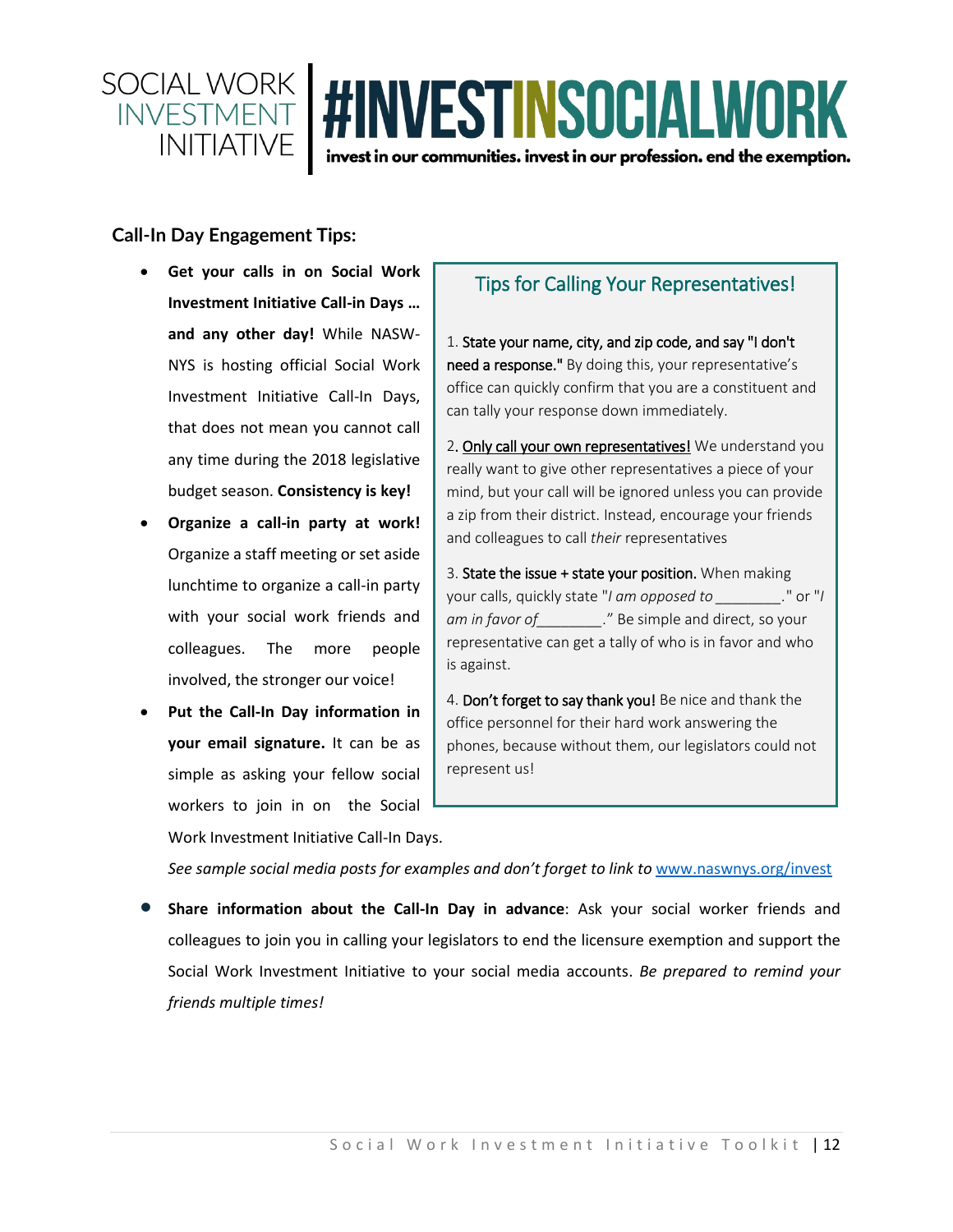

#### **Call-In Day Engagement Tips:**

- **Get your calls in on Social Work Investment Initiative Call-in Days … and any other day!** While NASW-NYS is hosting official Social Work Investment Initiative Call-In Days, that does not mean you cannot call any time during the 2018 legislative budget season. **Consistency is key!**
- **Organize a call-in party at work!** Organize a staff meeting or set aside lunchtime to organize a call-in party with your social work friends and colleagues. The more people involved, the stronger our voice!
- **Put the Call-In Day information in your email signature.** It can be as simple as asking your fellow social workers to join in on the Social Work Investment Initiative Call-In Days.

## Tips for Calling Your Representatives!

1. State your name, city, and zip code, and say "I don't need a response." By doing this, your representative's office can quickly confirm that you are a constituent and can tally your response down immediately.

2. Only call your own representatives! We understand you really want to give other representatives a piece of your mind, but your call will be ignored unless you can provide a zip from their district. Instead, encourage your friends and colleagues to call *their* representatives

3. State the issue + state your position. When making your calls, quickly state "*I am opposed to \_\_\_\_\_\_\_\_.*" or "*I am in favor of\_\_\_\_\_\_\_\_.*" Be simple and direct, so your representative can get a tally of who is in favor and who is against.

4. Don't forget to say thank you! Be nice and thank the office personnel for their hard work answering the phones, because without them, our legislators could not represent us!

*See sample social media posts for examples and don't forget to link to* [www.naswnys.org/invest](http://www.naswnys.org/invest)

• **Share information about the Call-In Day in advance**: Ask your social worker friends and colleagues to join you in calling your legislators to end the licensure exemption and support the Social Work Investment Initiative to your social media accounts. *Be prepared to remind your friends multiple times!*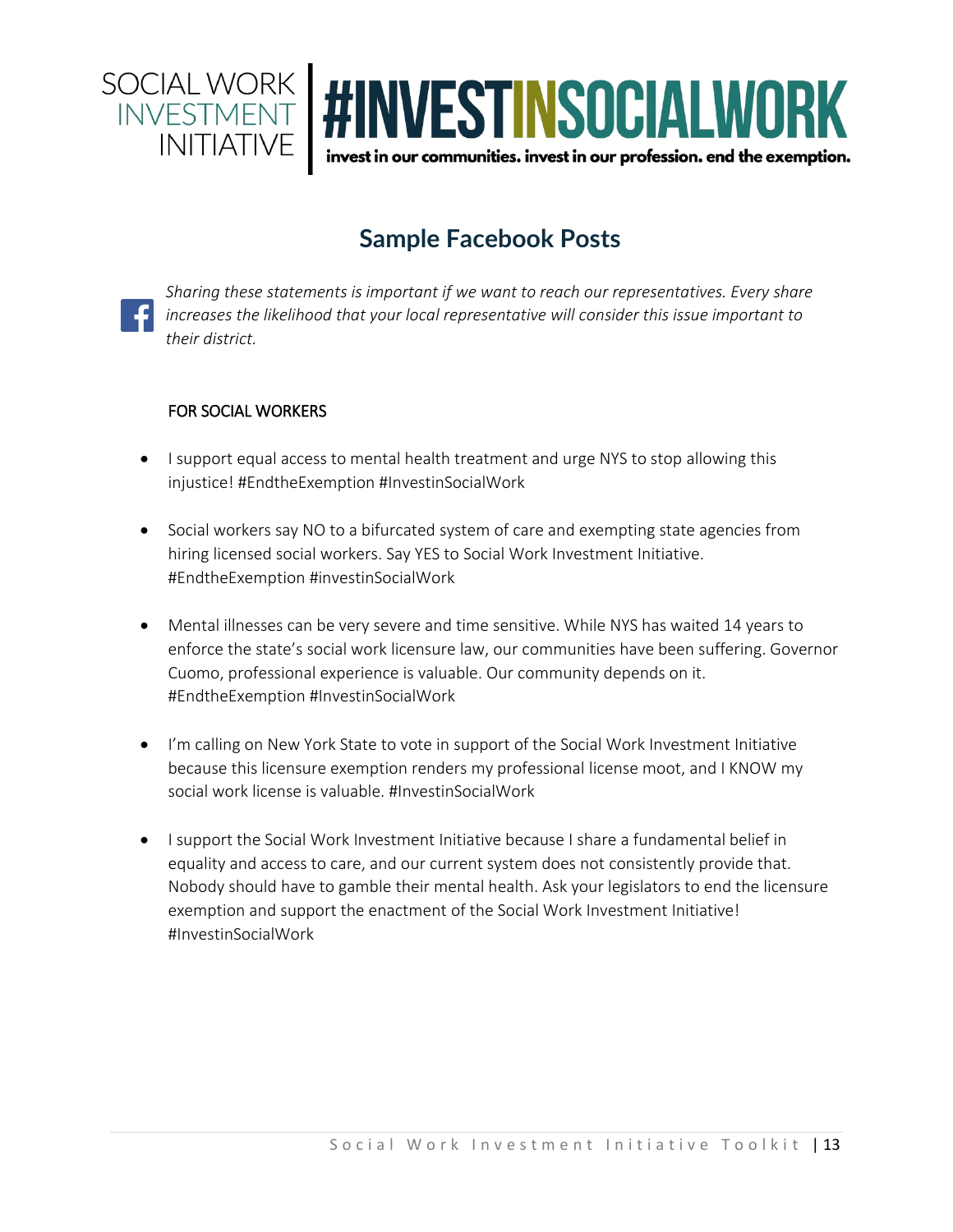

## **Sample Facebook Posts**

*Sharing these statements is important if we want to reach our representatives. Every share increases the likelihood that your local representative will consider this issue important to their district.*

#### FOR SOCIAL WORKERS

- I support equal access to mental health treatment and urge NYS to stop allowing this injustice! #EndtheExemption #InvestinSocialWork
- Social workers say NO to a bifurcated system of care and exempting state agencies from hiring licensed social workers. Say YES to Social Work Investment Initiative. #EndtheExemption #investinSocialWork
- Mental illnesses can be very severe and time sensitive. While NYS has waited 14 years to enforce the state's social work licensure law, our communities have been suffering. Governor Cuomo, professional experience is valuable. Our community depends on it. #EndtheExemption #InvestinSocialWork
- I'm calling on New York State to vote in support of the Social Work Investment Initiative because this licensure exemption renders my professional license moot, and I KNOW my social work license is valuable. #InvestinSocialWork
- I support the Social Work Investment Initiative because I share a fundamental belief in equality and access to care, and our current system does not consistently provide that. Nobody should have to gamble their mental health. Ask your legislators to end the licensure exemption and support the enactment of the Social Work Investment Initiative! #InvestinSocialWork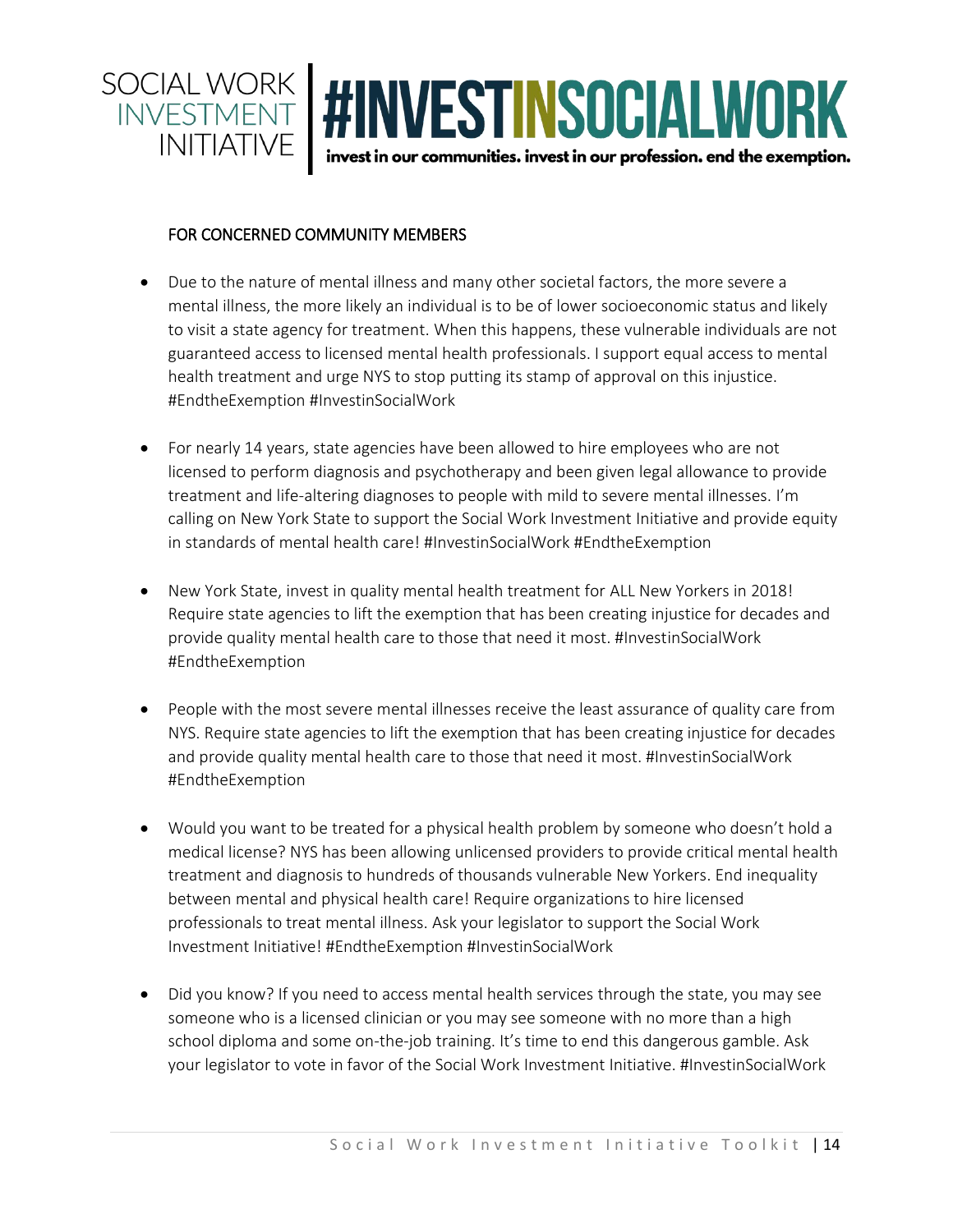

#### FOR CONCERNED COMMUNITY MEMBERS

- Due to the nature of mental illness and many other societal factors, the more severe a mental illness, the more likely an individual is to be of lower socioeconomic status and likely to visit a state agency for treatment. When this happens, these vulnerable individuals are not guaranteed access to licensed mental health professionals. I support equal access to mental health treatment and urge NYS to stop putting its stamp of approval on this injustice. #EndtheExemption #InvestinSocialWork
- For nearly 14 years, state agencies have been allowed to hire employees who are not licensed to perform diagnosis and psychotherapy and been given legal allowance to provide treatment and life-altering diagnoses to people with mild to severe mental illnesses. I'm calling on New York State to support the Social Work Investment Initiative and provide equity in standards of mental health care! #InvestinSocialWork #EndtheExemption
- New York State, invest in quality mental health treatment for ALL New Yorkers in 2018! Require state agencies to lift the exemption that has been creating injustice for decades and provide quality mental health care to those that need it most. #InvestinSocialWork #EndtheExemption
- People with the most severe mental illnesses receive the least assurance of quality care from NYS. Require state agencies to lift the exemption that has been creating injustice for decades and provide quality mental health care to those that need it most. #InvestinSocialWork #EndtheExemption
- Would you want to be treated for a physical health problem by someone who doesn't hold a medical license? NYS has been allowing unlicensed providers to provide critical mental health treatment and diagnosis to hundreds of thousands vulnerable New Yorkers. End inequality between mental and physical health care! Require organizations to hire licensed professionals to treat mental illness. Ask your legislator to support the Social Work Investment Initiative! #EndtheExemption #InvestinSocialWork
- Did you know? If you need to access mental health services through the state, you may see someone who is a licensed clinician or you may see someone with no more than a high school diploma and some on-the-job training. It's time to end this dangerous gamble. Ask your legislator to vote in favor of the Social Work Investment Initiative. #InvestinSocialWork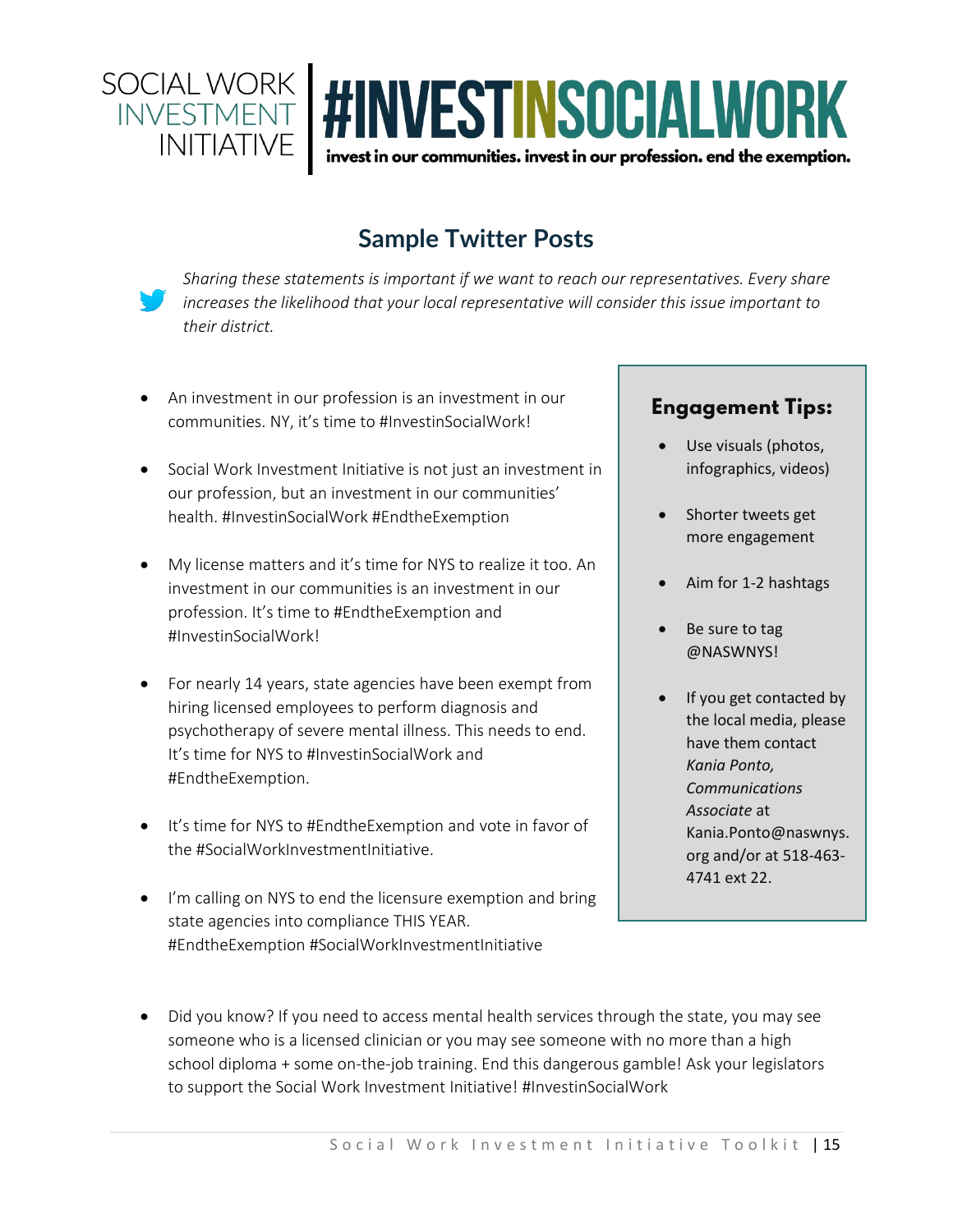

## **Sample Twitter Posts**

*Sharing these statements is important if we want to reach our representatives. Every share increases the likelihood that your local representative will consider this issue important to their district.*

- An investment in our profession is an investment in our communities. NY, it's time to #InvestinSocialWork!
- Social Work Investment Initiative is not just an investment in our profession, but an investment in our communities' health. #InvestinSocialWork #EndtheExemption
- My license matters and it's time for NYS to realize it too. An investment in our communities is an investment in our profession. It's time to #EndtheExemption and #InvestinSocialWork!
- For nearly 14 years, state agencies have been exempt from hiring licensed employees to perform diagnosis and psychotherapy of severe mental illness. This needs to end. It's time for NYS to #InvestinSocialWork and #EndtheExemption.
- It's time for NYS to #EndtheExemption and vote in favor of the #SocialWorkInvestmentInitiative.
- I'm calling on NYS to end the licensure exemption and bring state agencies into compliance THIS YEAR. #EndtheExemption #SocialWorkInvestmentInitiative

## **Engagement Tips:**

- Use visuals (photos, infographics, videos)
- Shorter tweets get more engagement
- Aim for 1-2 hashtags
- Be sure to tag @NASWNYS!
- If you get contacted by the local media, please have them contact *Kania Ponto, Communications Associate* at Kania.Ponto@naswnys. org and/or at 518-463- 4741 ext 22.
- Did you know? If you need to access mental health services through the state, you may see someone who is a licensed clinician or you may see someone with no more than a high school diploma + some on-the-job training. End this dangerous gamble! Ask your legislators to support the Social Work Investment Initiative! #InvestinSocialWork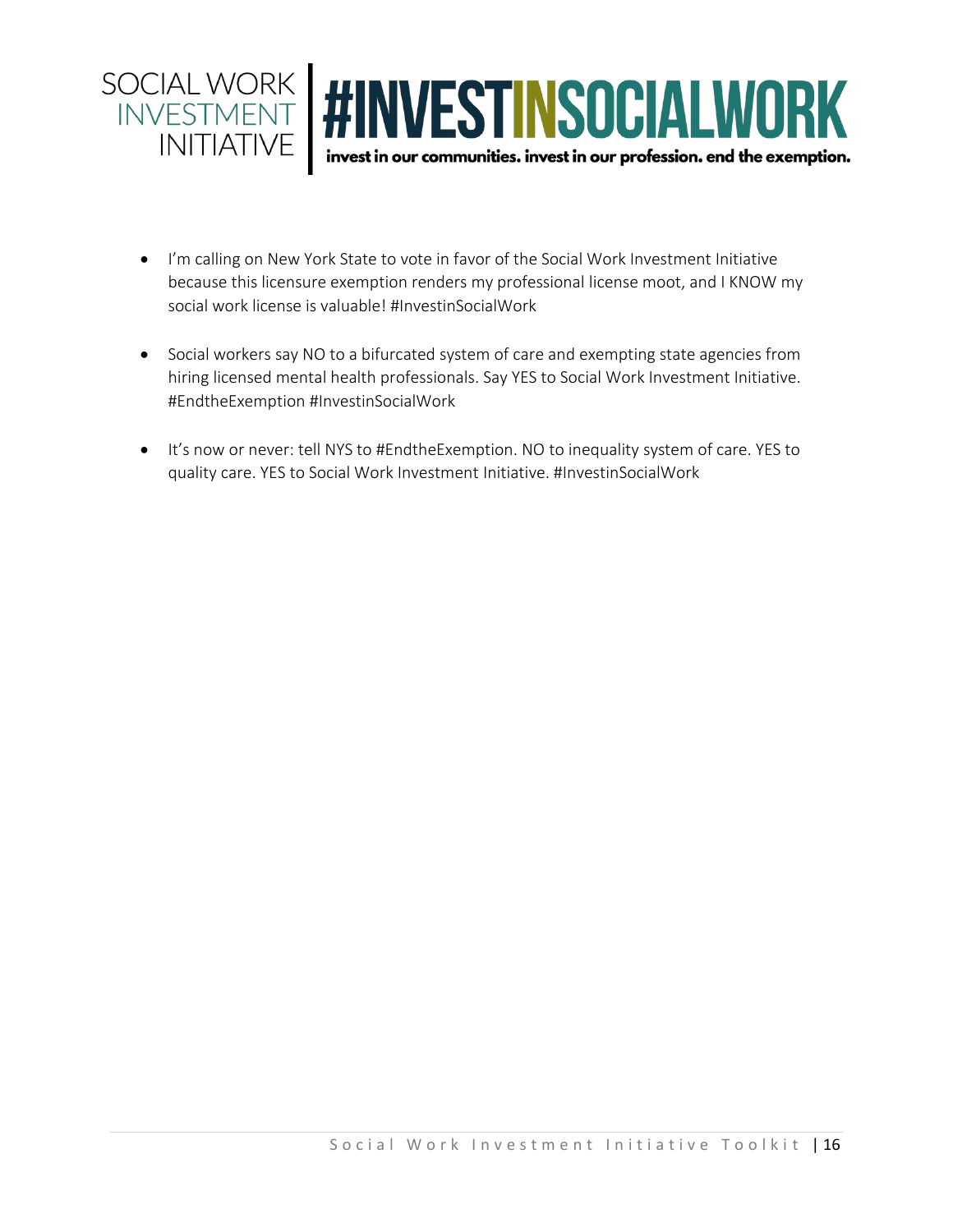

- I'm calling on New York State to vote in favor of the Social Work Investment Initiative because this licensure exemption renders my professional license moot, and I KNOW my social work license is valuable! #InvestinSocialWork
- Social workers say NO to a bifurcated system of care and exempting state agencies from hiring licensed mental health professionals. Say YES to Social Work Investment Initiative. #EndtheExemption #InvestinSocialWork
- It's now or never: tell NYS to #EndtheExemption. NO to inequality system of care. YES to quality care. YES to Social Work Investment Initiative. #InvestinSocialWork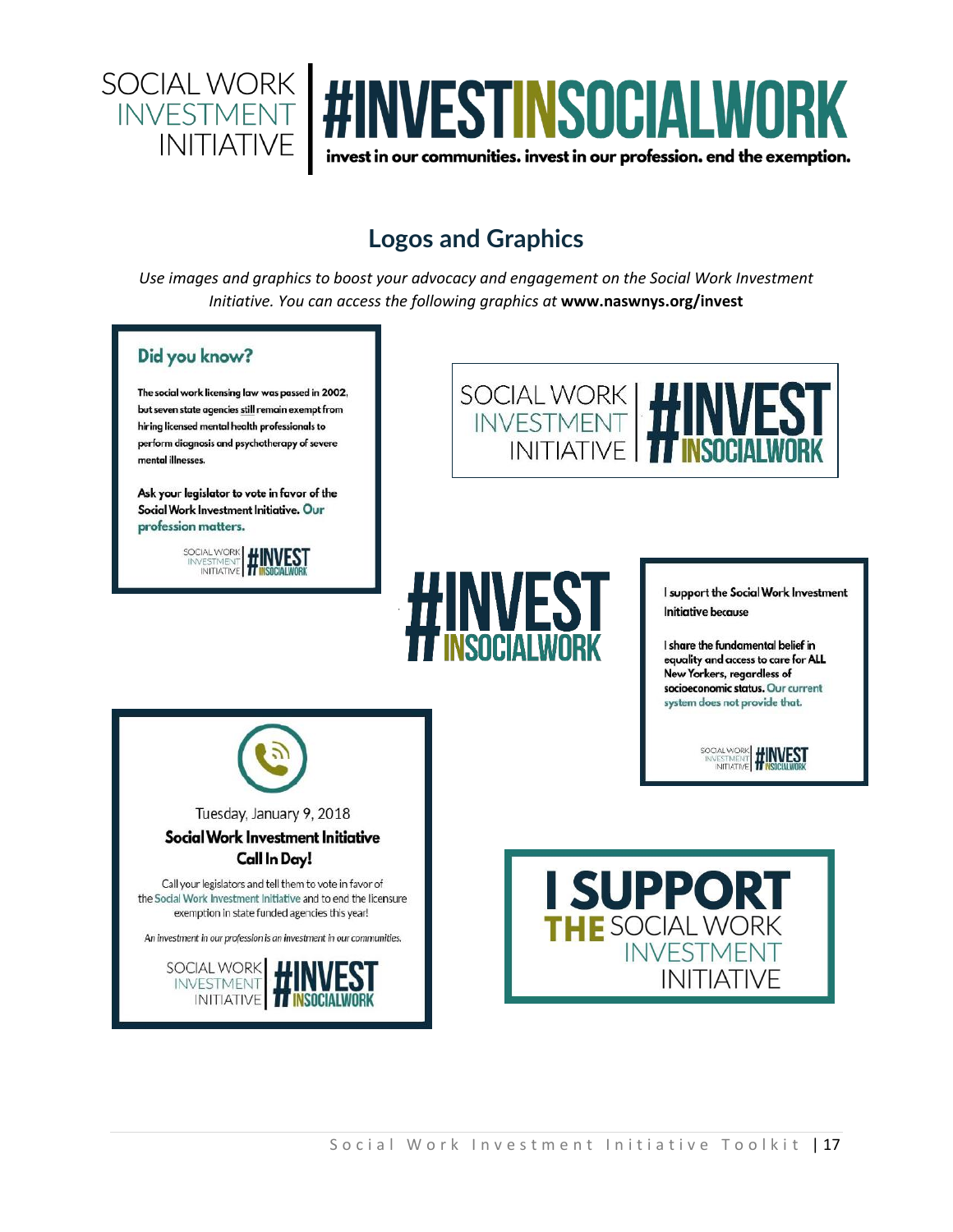

## **Logos and Graphics**

*Use images and graphics to boost your advocacy and engagement on the Social Work Investment Initiative. You can access the following graphics at* **[www.naswnys.org/invest](http://www.naswnys.org/invest)**

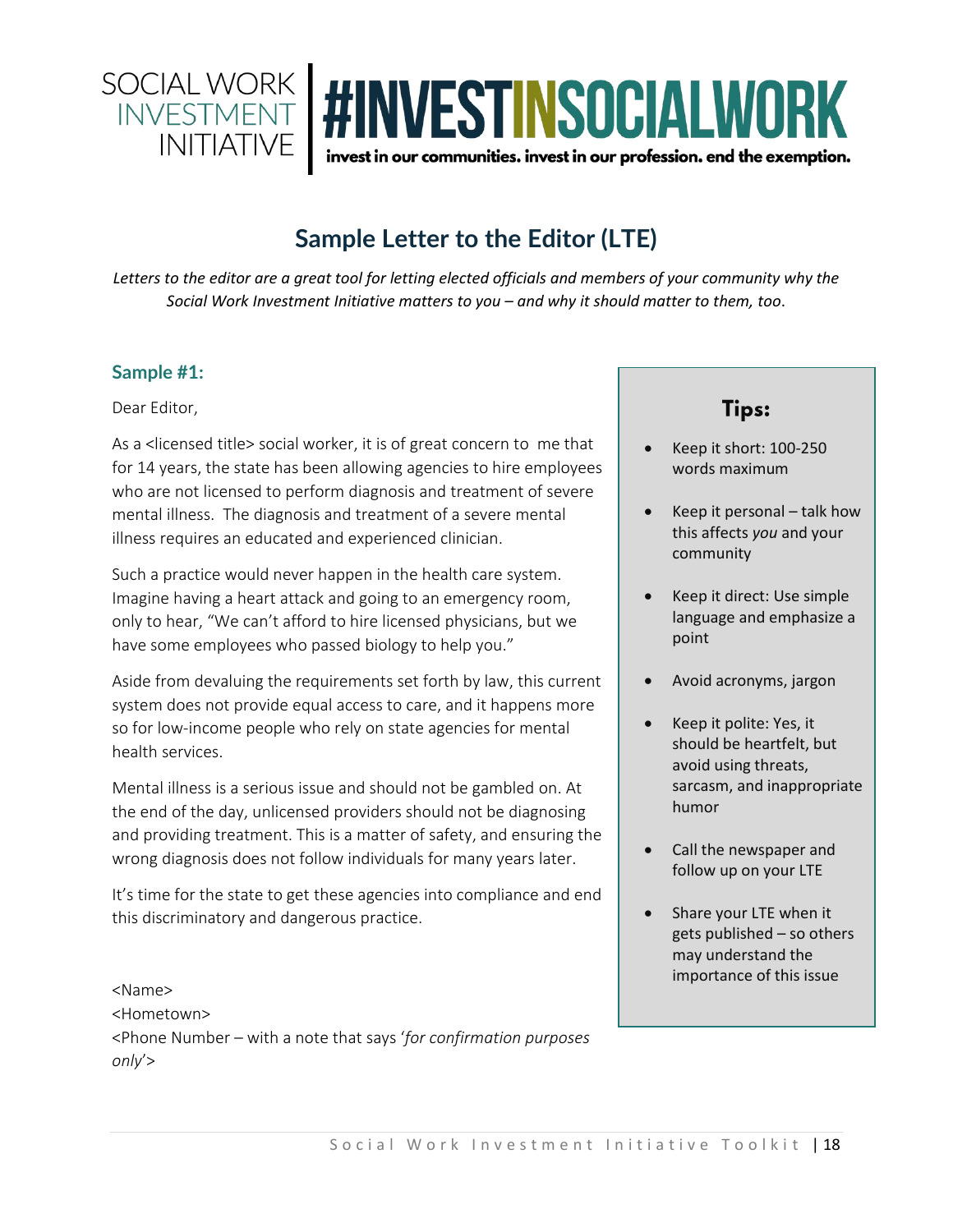

## **Sample Letter to the Editor (LTE)**

*Letters to the editor are a great tool for letting elected officials and members of your community why the Social Work Investment Initiative matters to you – and why it should matter to them, too*.

#### **Sample #1:**

Dear Editor,

As a <licensed title> social worker, it is of great concern to me that for 14 years, the state has been allowing agencies to hire employees who are not licensed to perform diagnosis and treatment of severe mental illness. The diagnosis and treatment of a severe mental illness requires an educated and experienced clinician.

Such a practice would never happen in the health care system. Imagine having a heart attack and going to an emergency room, only to hear, "We can't afford to hire licensed physicians, but we have some employees who passed biology to help you."

Aside from devaluing the requirements set forth by law, this current system does not provide equal access to care, and it happens more so for low-income people who rely on state agencies for mental health services.

Mental illness is a serious issue and should not be gambled on. At the end of the day, unlicensed providers should not be diagnosing and providing treatment. This is a matter of safety, and ensuring the wrong diagnosis does not follow individuals for many years later.

It's time for the state to get these agencies into compliance and end this discriminatory and dangerous practice.

<Name> <Hometown> <Phone Number – with a note that says '*for confirmation purposes only*'>

## **Tips:**

- Keep it short: 100-250 words maximum
- Keep it personal talk how this affects *you* and your community
- Keep it direct: Use simple language and emphasize a point
- Avoid acronyms, jargon
- Keep it polite: Yes, it should be heartfelt, but avoid using threats, sarcasm, and inappropriate humor
- Call the newspaper and follow up on your LTE
- Share your LTE when it gets published – so others may understand the importance of this issue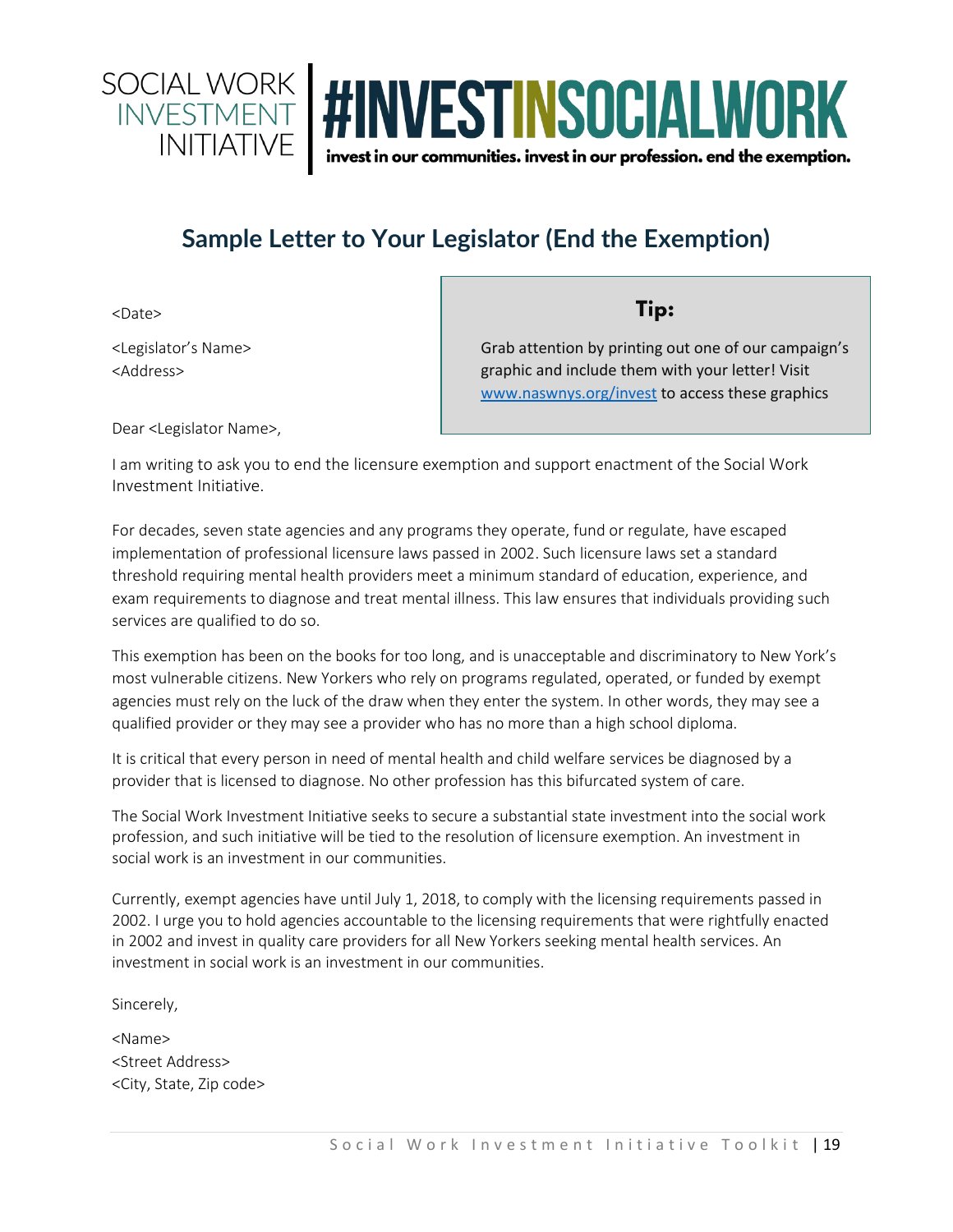

## **Sample Letter to Your Legislator (End the Exemption)**

<Date>

<Legislator's Name> <Address>

Tip:

Grab attention by printing out one of our campaign's graphic and include them with your letter! Visit [www.naswnys.org/invest](http://www.naswnys.org/invest) to access these graphics

Dear <Legislator Name>,

I am writing to ask you to end the licensure exemption and support enactment of the Social Work Investment Initiative.

For decades, seven state agencies and any programs they operate, fund or regulate, have escaped implementation of professional licensure laws passed in 2002. Such licensure laws set a standard threshold requiring mental health providers meet a minimum standard of education, experience, and exam requirements to diagnose and treat mental illness. This law ensures that individuals providing such services are qualified to do so.

This exemption has been on the books for too long, and is unacceptable and discriminatory to New York's most vulnerable citizens. New Yorkers who rely on programs regulated, operated, or funded by exempt agencies must rely on the luck of the draw when they enter the system. In other words, they may see a qualified provider or they may see a provider who has no more than a high school diploma.

It is critical that every person in need of mental health and child welfare services be diagnosed by a provider that is licensed to diagnose. No other profession has this bifurcated system of care.

The Social Work Investment Initiative seeks to secure a substantial state investment into the social work profession, and such initiative will be tied to the resolution of licensure exemption. An investment in social work is an investment in our communities.

Currently, exempt agencies have until July 1, 2018, to comply with the licensing requirements passed in 2002. I urge you to hold agencies accountable to the licensing requirements that were rightfully enacted in 2002 and invest in quality care providers for all New Yorkers seeking mental health services. An investment in social work is an investment in our communities.

Sincerely,

<Name> <Street Address> <City, State, Zip code>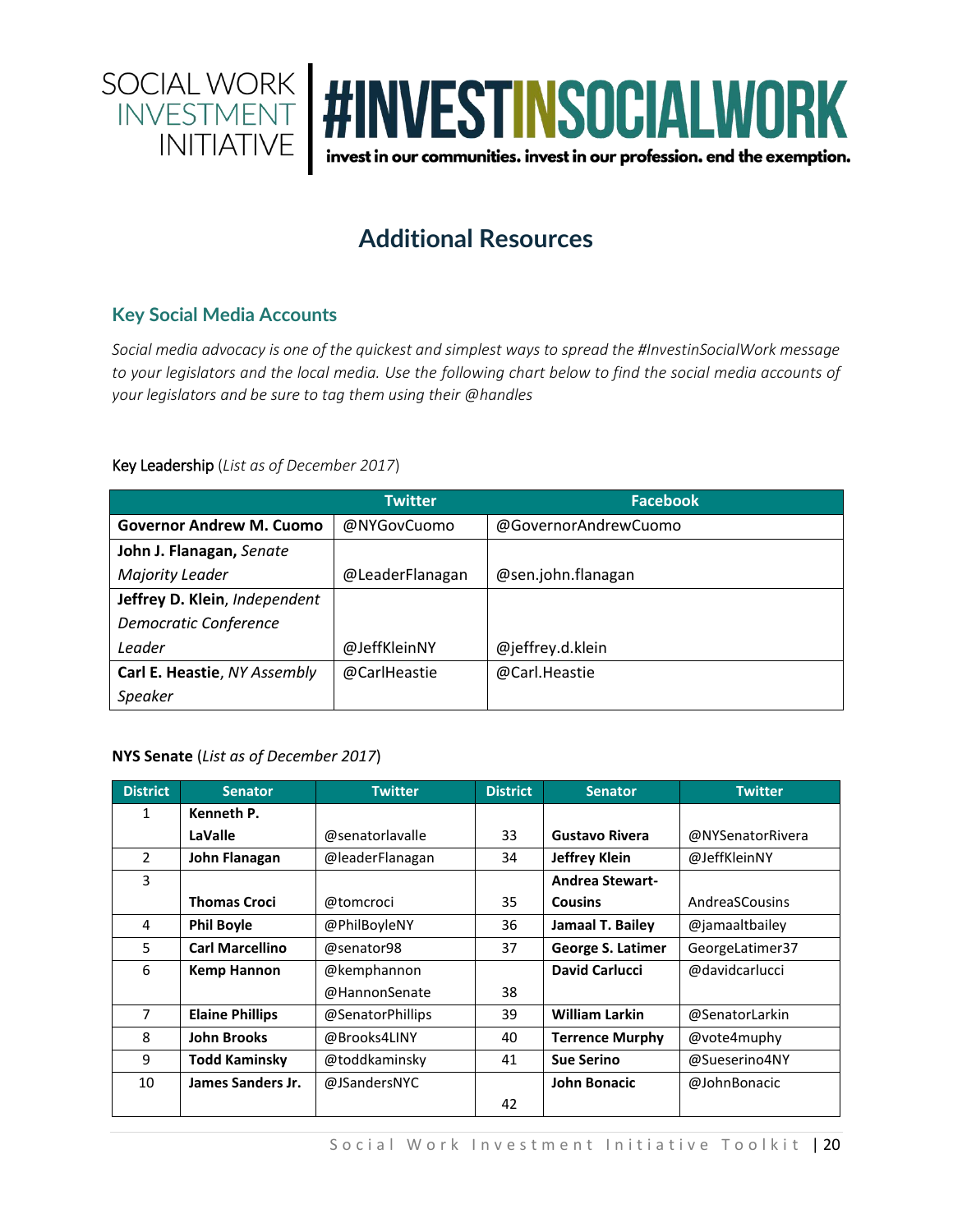

## **Additional Resources**

#### **Key Social Media Accounts**

*Social media advocacy is one of the quickest and simplest ways to spread the #InvestinSocialWork message to your legislators and the local media. Use the following chart below to find the social media accounts of your legislators and be sure to tag them using their @handles*

#### Key Leadership (*List as of December 2017*)

|                                 | <b>Twitter</b>  | <b>Facebook</b>      |
|---------------------------------|-----------------|----------------------|
| <b>Governor Andrew M. Cuomo</b> | @NYGovCuomo     | @GovernorAndrewCuomo |
| John J. Flanagan, Senate        |                 |                      |
| Majority Leader                 | @LeaderFlanagan | @sen.john.flanagan   |
| Jeffrey D. Klein, Independent   |                 |                      |
| Democratic Conference           |                 |                      |
| Leader                          | @JeffKleinNY    | @jeffrey.d.klein     |
| Carl E. Heastie, NY Assembly    | @CarlHeastie    | @Carl.Heastie        |
| Speaker                         |                 |                      |

#### **NYS Senate** (*List as of December 2017*)

| <b>District</b> | <b>Senator</b>         | <b>Twitter</b>   | <b>District</b> | <b>Senator</b>         | <b>Twitter</b>   |
|-----------------|------------------------|------------------|-----------------|------------------------|------------------|
| 1               | Kenneth P.             |                  |                 |                        |                  |
|                 | LaValle                | @senatorlavalle  | 33              | <b>Gustavo Rivera</b>  | @NYSenatorRivera |
| $\overline{2}$  | John Flanagan          | @leaderFlanagan  | 34              | <b>Jeffrey Klein</b>   | @JeffKleinNY     |
| 3               |                        |                  |                 | <b>Andrea Stewart-</b> |                  |
|                 | <b>Thomas Croci</b>    | @tomcroci        | 35              | <b>Cousins</b>         | AndreaSCousins   |
| 4               | <b>Phil Boyle</b>      | @PhilBoyleNY     | 36              | Jamaal T. Bailey       | @jamaaltbailey   |
| 5               | <b>Carl Marcellino</b> | @senator98       | 37              | George S. Latimer      | GeorgeLatimer37  |
| 6               | <b>Kemp Hannon</b>     | @kemphannon      |                 | <b>David Carlucci</b>  | @davidcarlucci   |
|                 |                        | @HannonSenate    | 38              |                        |                  |
| 7               | <b>Elaine Phillips</b> | @SenatorPhillips | 39              | <b>William Larkin</b>  | @SenatorLarkin   |
| 8               | <b>John Brooks</b>     | @Brooks4LINY     | 40              | <b>Terrence Murphy</b> | @vote4muphy      |
| 9               | <b>Todd Kaminsky</b>   | @toddkaminsky    | 41              | <b>Sue Serino</b>      | @Sueserino4NY    |
| 10              | James Sanders Jr.      | @JSandersNYC     |                 | <b>John Bonacic</b>    | @JohnBonacic     |
|                 |                        |                  | 42              |                        |                  |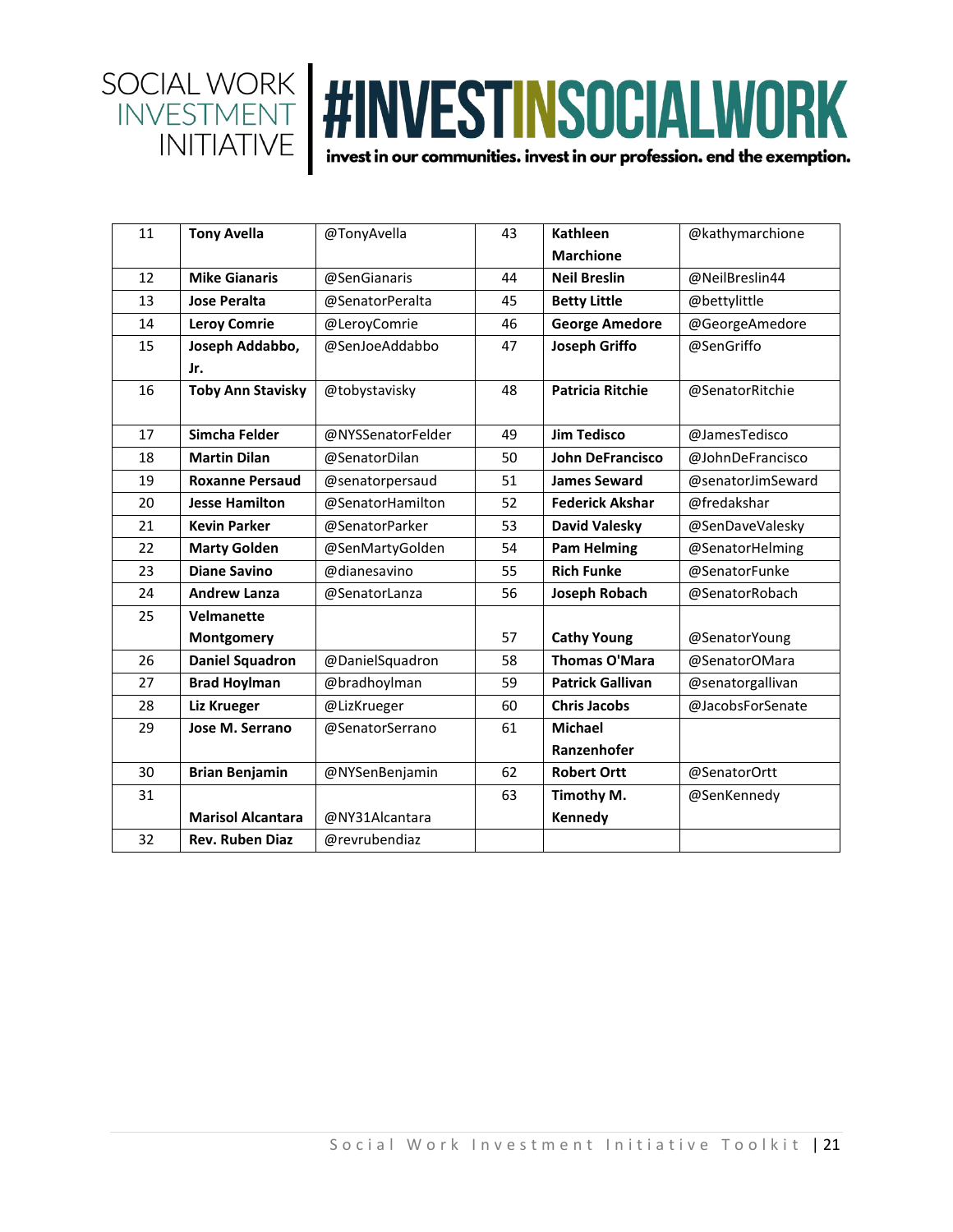

| <b>Tony Avella</b>       | @TonyAvella       | 43 | <b>Kathleen</b>         | @kathymarchione   |
|--------------------------|-------------------|----|-------------------------|-------------------|
|                          |                   |    | <b>Marchione</b>        |                   |
| <b>Mike Gianaris</b>     | @SenGianaris      | 44 | <b>Neil Breslin</b>     | @NeilBreslin44    |
| <b>Jose Peralta</b>      | @SenatorPeralta   | 45 | <b>Betty Little</b>     | @bettylittle      |
| <b>Leroy Comrie</b>      | @LeroyComrie      | 46 | <b>George Amedore</b>   | @GeorgeAmedore    |
| Joseph Addabbo,          | @SenJoeAddabbo    | 47 | <b>Joseph Griffo</b>    | @SenGriffo        |
| Jr.                      |                   |    |                         |                   |
| <b>Toby Ann Stavisky</b> | @tobystavisky     | 48 | <b>Patricia Ritchie</b> | @SenatorRitchie   |
| Simcha Felder            | @NYSSenatorFelder | 49 | <b>Jim Tedisco</b>      | @JamesTedisco     |
| <b>Martin Dilan</b>      | @SenatorDilan     | 50 | <b>John DeFrancisco</b> | @JohnDeFrancisco  |
| <b>Roxanne Persaud</b>   | @senatorpersaud   | 51 | <b>James Seward</b>     | @senatorJimSeward |
| <b>Jesse Hamilton</b>    | @SenatorHamilton  | 52 | <b>Federick Akshar</b>  | @fredakshar       |
| <b>Kevin Parker</b>      | @SenatorParker    | 53 | <b>David Valesky</b>    | @SenDaveValesky   |
| <b>Marty Golden</b>      | @SenMartyGolden   | 54 | <b>Pam Helming</b>      | @SenatorHelming   |
| <b>Diane Savino</b>      | @dianesavino      | 55 | <b>Rich Funke</b>       | @SenatorFunke     |
| <b>Andrew Lanza</b>      | @SenatorLanza     | 56 | <b>Joseph Robach</b>    | @SenatorRobach    |
| <b>Velmanette</b>        |                   |    |                         |                   |
| Montgomery               |                   | 57 | <b>Cathy Young</b>      | @SenatorYoung     |
| <b>Daniel Squadron</b>   | @DanielSquadron   | 58 | <b>Thomas O'Mara</b>    | @SenatorOMara     |
| <b>Brad Hoylman</b>      | @bradhoylman      | 59 | <b>Patrick Gallivan</b> | @senatorgallivan  |
| <b>Liz Krueger</b>       | @LizKrueger       | 60 | <b>Chris Jacobs</b>     | @JacobsForSenate  |
| Jose M. Serrano          | @SenatorSerrano   | 61 | <b>Michael</b>          |                   |
|                          |                   |    | Ranzenhofer             |                   |
| <b>Brian Benjamin</b>    | @NYSenBenjamin    | 62 | <b>Robert Ortt</b>      | @SenatorOrtt      |
|                          |                   | 63 | Timothy M.              | @SenKennedy       |
| <b>Marisol Alcantara</b> | @NY31Alcantara    |    | Kennedy                 |                   |
| <b>Rev. Ruben Diaz</b>   | @revrubendiaz     |    |                         |                   |
|                          |                   |    |                         |                   |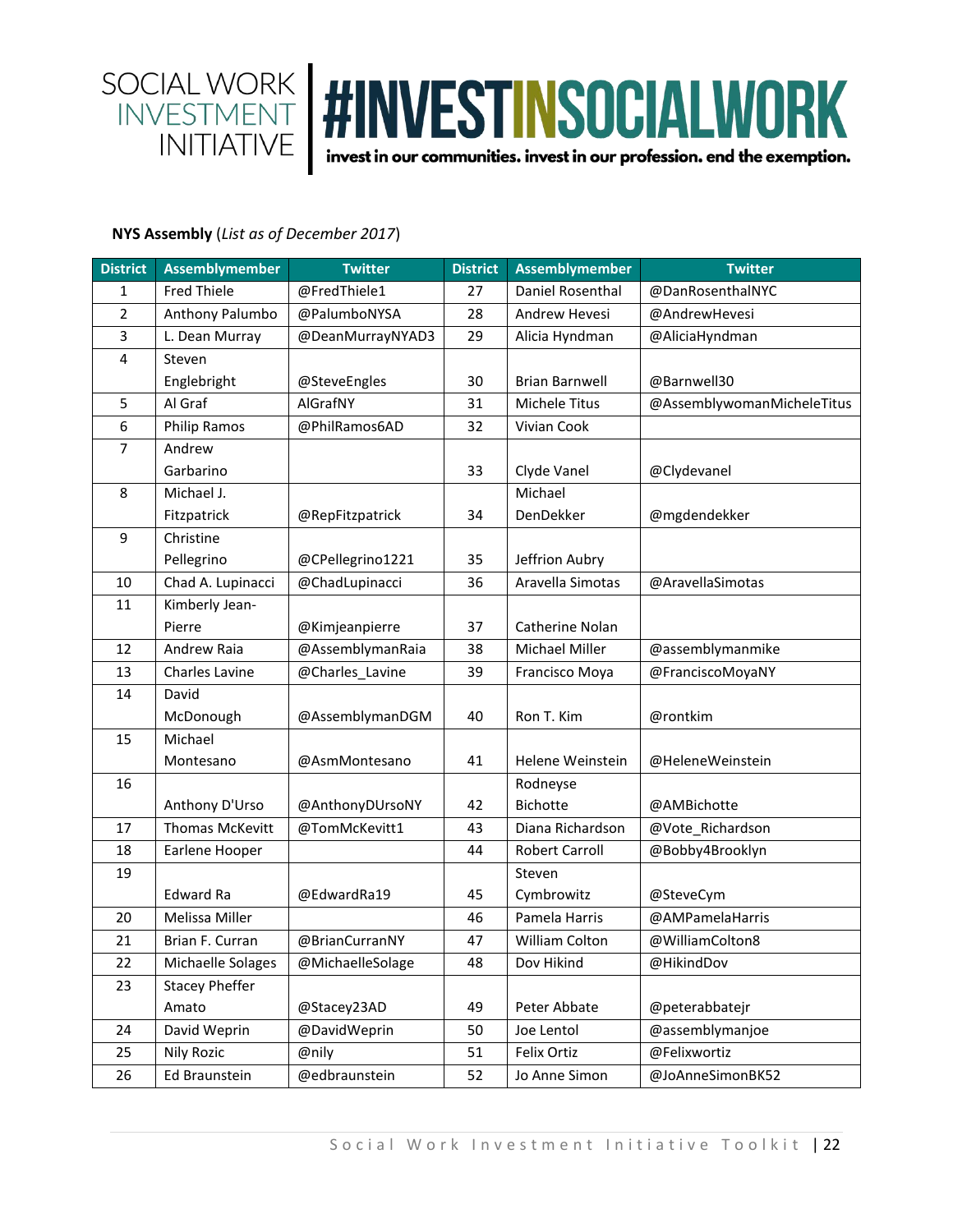

#### **NYS Assembly** (*List as of December 2017*)

| <b>District</b>  | <b>Assemblymember</b>  | <b>Twitter</b>   | <b>District</b> | <b>Assemblymember</b> | <b>Twitter</b>             |
|------------------|------------------------|------------------|-----------------|-----------------------|----------------------------|
| 1                | <b>Fred Thiele</b>     | @FredThiele1     | 27              | Daniel Rosenthal      | @DanRosenthalNYC           |
| $\overline{2}$   | Anthony Palumbo        | @PalumboNYSA     | 28              | Andrew Hevesi         | @AndrewHevesi              |
| 3                | L. Dean Murray         | @DeanMurrayNYAD3 | 29              | Alicia Hyndman        | @AliciaHyndman             |
| 4                | Steven                 |                  |                 |                       |                            |
|                  | Englebright            | @SteveEngles     | 30              | <b>Brian Barnwell</b> | @Barnwell30                |
| 5                | Al Graf                | AlGrafNY         | 31              | Michele Titus         | @AssemblywomanMicheleTitus |
| $\boldsymbol{6}$ | <b>Philip Ramos</b>    | @PhilRamos6AD    | 32              | Vivian Cook           |                            |
| 7                | Andrew                 |                  |                 |                       |                            |
|                  | Garbarino              |                  | 33              | Clyde Vanel           | @Clydevanel                |
| 8                | Michael J.             |                  |                 | Michael               |                            |
|                  | Fitzpatrick            | @RepFitzpatrick  | 34              | DenDekker             | @mgdendekker               |
| 9                | Christine              |                  |                 |                       |                            |
|                  | Pellegrino             | @CPellegrino1221 | 35              | Jeffrion Aubry        |                            |
| 10               | Chad A. Lupinacci      | @ChadLupinacci   | 36              | Aravella Simotas      | @AravellaSimotas           |
| 11               | Kimberly Jean-         |                  |                 |                       |                            |
|                  | Pierre                 | @Kimjeanpierre   | 37              | Catherine Nolan       |                            |
| 12               | Andrew Raia            | @AssemblymanRaia | 38              | Michael Miller        | @assemblymanmike           |
| 13               | Charles Lavine         | @Charles_Lavine  | 39              | Francisco Moya        | @FranciscoMoyaNY           |
| 14               | David                  |                  |                 |                       |                            |
|                  | McDonough              | @AssemblymanDGM  | 40              | Ron T. Kim            | @rontkim                   |
| 15               | Michael                |                  |                 |                       |                            |
|                  | Montesano              | @AsmMontesano    | 41              | Helene Weinstein      | @HeleneWeinstein           |
| 16               |                        |                  |                 | Rodneyse              |                            |
|                  | Anthony D'Urso         | @AnthonyDUrsoNY  | 42              | Bichotte              | @AMBichotte                |
| 17               | <b>Thomas McKevitt</b> | @TomMcKevitt1    | 43              | Diana Richardson      | @Vote_Richardson           |
| 18               | Earlene Hooper         |                  | 44              | <b>Robert Carroll</b> | @Bobby4Brooklyn            |
| 19               |                        |                  |                 | Steven                |                            |
|                  | Edward Ra              | @EdwardRa19      | 45              | Cymbrowitz            | @SteveCym                  |
| 20               | Melissa Miller         |                  | 46              | Pamela Harris         | @AMPamelaHarris            |
| 21               | Brian F. Curran        | @BrianCurranNY   | 47              | William Colton        | @WilliamColton8            |
| 22               | Michaelle Solages      | @MichaelleSolage | 48              | Dov Hikind            | @HikindDov                 |
| 23               | <b>Stacey Pheffer</b>  |                  |                 |                       |                            |
|                  | Amato                  | @Stacey23AD      | 49              | Peter Abbate          | @peterabbatejr             |
| 24               | David Weprin           | @DavidWeprin     | 50              | Joe Lentol            | @assemblymanjoe            |
| 25               | <b>Nily Rozic</b>      | @nily            | 51              | Felix Ortiz           | @Felixwortiz               |
| 26               | Ed Braunstein          | @edbraunstein    | 52              | Jo Anne Simon         | @JoAnneSimonBK52           |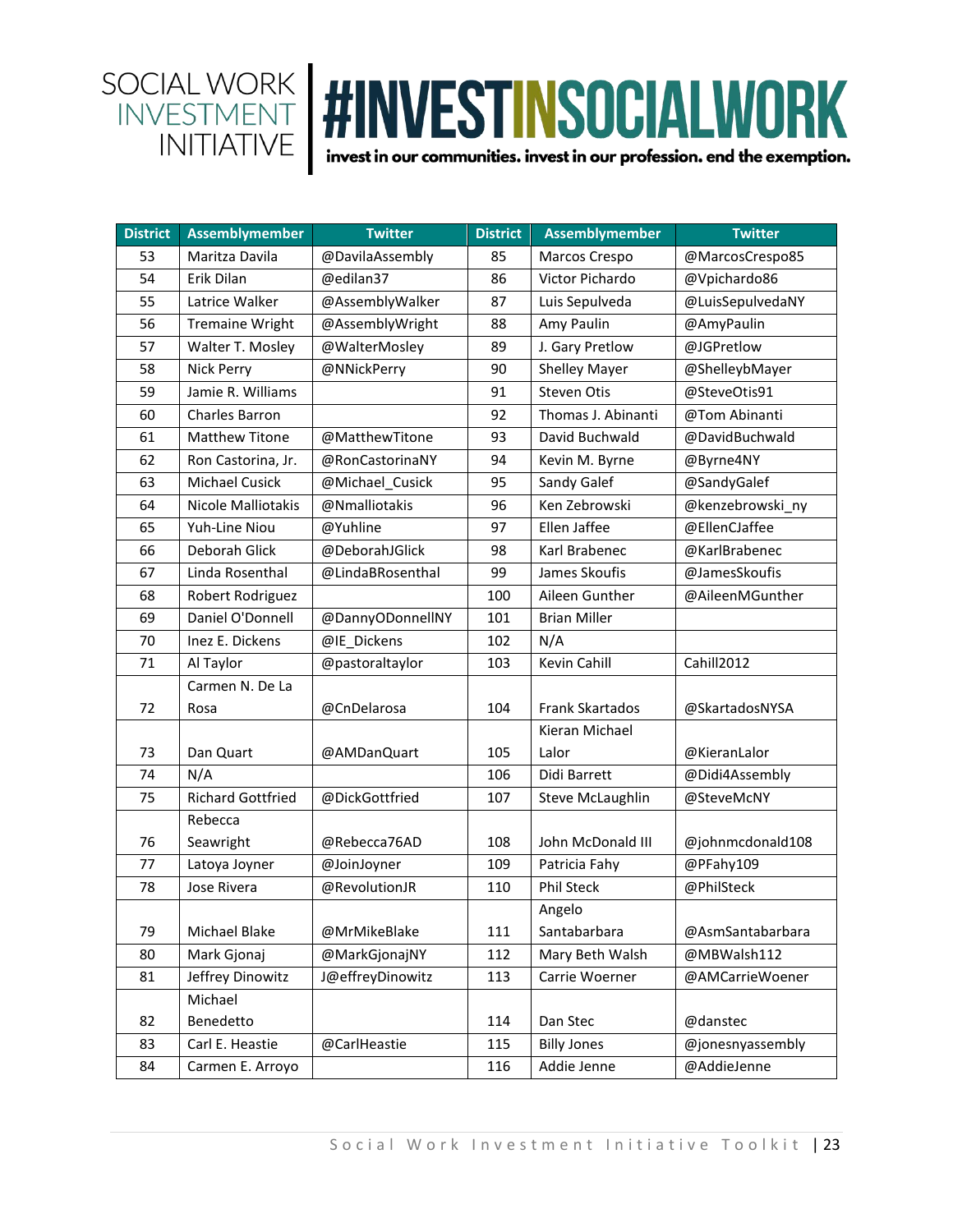| <b>District</b> | <b>Assemblymember</b>    | <b>Twitter</b>   | <b>District</b> | <b>Assemblymember</b> | <b>Twitter</b>   |
|-----------------|--------------------------|------------------|-----------------|-----------------------|------------------|
| 53              | Maritza Davila           | @DavilaAssembly  | 85              | Marcos Crespo         | @MarcosCrespo85  |
| 54              | Erik Dilan               | @edilan37        | 86              | Victor Pichardo       | @Vpichardo86     |
| 55              | Latrice Walker           | @AssemblyWalker  | 87              | Luis Sepulveda        | @LuisSepulvedaNY |
| 56              | <b>Tremaine Wright</b>   | @AssemblyWright  | 88              | Amy Paulin            | @AmyPaulin       |
| 57              | Walter T. Mosley         | @WalterMosley    | 89              | J. Gary Pretlow       | @JGPretlow       |
| 58              | Nick Perry               | @NNickPerry      | 90              | <b>Shelley Mayer</b>  | @ShelleybMayer   |
| 59              | Jamie R. Williams        |                  | 91              | Steven Otis           | @SteveOtis91     |
| 60              | Charles Barron           |                  | 92              | Thomas J. Abinanti    | @Tom Abinanti    |
| 61              | <b>Matthew Titone</b>    | @MatthewTitone   | 93              | David Buchwald        | @DavidBuchwald   |
| 62              | Ron Castorina, Jr.       | @RonCastorinaNY  | 94              | Kevin M. Byrne        | @Byrne4NY        |
| 63              | Michael Cusick           | @Michael_Cusick  | 95              | Sandy Galef           | @SandyGalef      |
| 64              | Nicole Malliotakis       | @Nmalliotakis    | 96              | Ken Zebrowski         | @kenzebrowski_ny |
| 65              | Yuh-Line Niou            | @Yuhline         | 97              | Ellen Jaffee          | @EllenCJaffee    |
| 66              | Deborah Glick            | @DeborahJGlick   | 98              | Karl Brabenec         | @KarlBrabenec    |
| 67              | Linda Rosenthal          | @LindaBRosenthal | 99              | James Skoufis         | @JamesSkoufis    |
| 68              | Robert Rodriguez         |                  | 100             | Aileen Gunther        | @AileenMGunther  |
| 69              | Daniel O'Donnell         | @DannyODonnellNY | 101             | <b>Brian Miller</b>   |                  |
| 70              | Inez E. Dickens          | @IE_Dickens      | 102             | N/A                   |                  |
| 71              | Al Taylor                | @pastoraltaylor  | 103             | Kevin Cahill          | Cahill2012       |
|                 | Carmen N. De La          |                  |                 |                       |                  |
| 72              | Rosa                     | @CnDelarosa      | 104             | Frank Skartados       | @SkartadosNYSA   |
|                 |                          |                  |                 | Kieran Michael        |                  |
| 73              | Dan Quart                | @AMDanQuart      | 105             | Lalor                 | @KieranLalor     |
| 74              | N/A                      |                  | 106             | Didi Barrett          | @Didi4Assembly   |
| 75              | <b>Richard Gottfried</b> | @DickGottfried   | 107             | Steve McLaughlin      | @SteveMcNY       |
|                 | Rebecca                  |                  |                 |                       |                  |
| 76              | Seawright                | @Rebecca76AD     | 108             | John McDonald III     | @johnmcdonald108 |
| 77              | Latoya Joyner            | @JoinJoyner      | 109             | Patricia Fahy         | @PFahy109        |
| 78              | Jose Rivera              | @RevolutionJR    | 110             | <b>Phil Steck</b>     | @PhilSteck       |
|                 |                          |                  |                 | Angelo                |                  |
| 79              | Michael Blake            | @MrMikeBlake     | 111             | Santabarbara          | @AsmSantabarbara |
| 80              | Mark Gjonaj              | @MarkGjonajNY    | 112             | Mary Beth Walsh       | @MBWalsh112      |
| 81              | Jeffrey Dinowitz         | J@effreyDinowitz | 113             | Carrie Woerner        | @AMCarrieWoener  |
|                 | Michael                  |                  |                 |                       |                  |
| 82              | Benedetto                |                  | 114             | Dan Stec              | @danstec         |
| 83              | Carl E. Heastie          | @CarlHeastie     | 115             | <b>Billy Jones</b>    | @jonesnyassembly |
| 84              | Carmen E. Arroyo         |                  | 116             | Addie Jenne           | @AddieJenne      |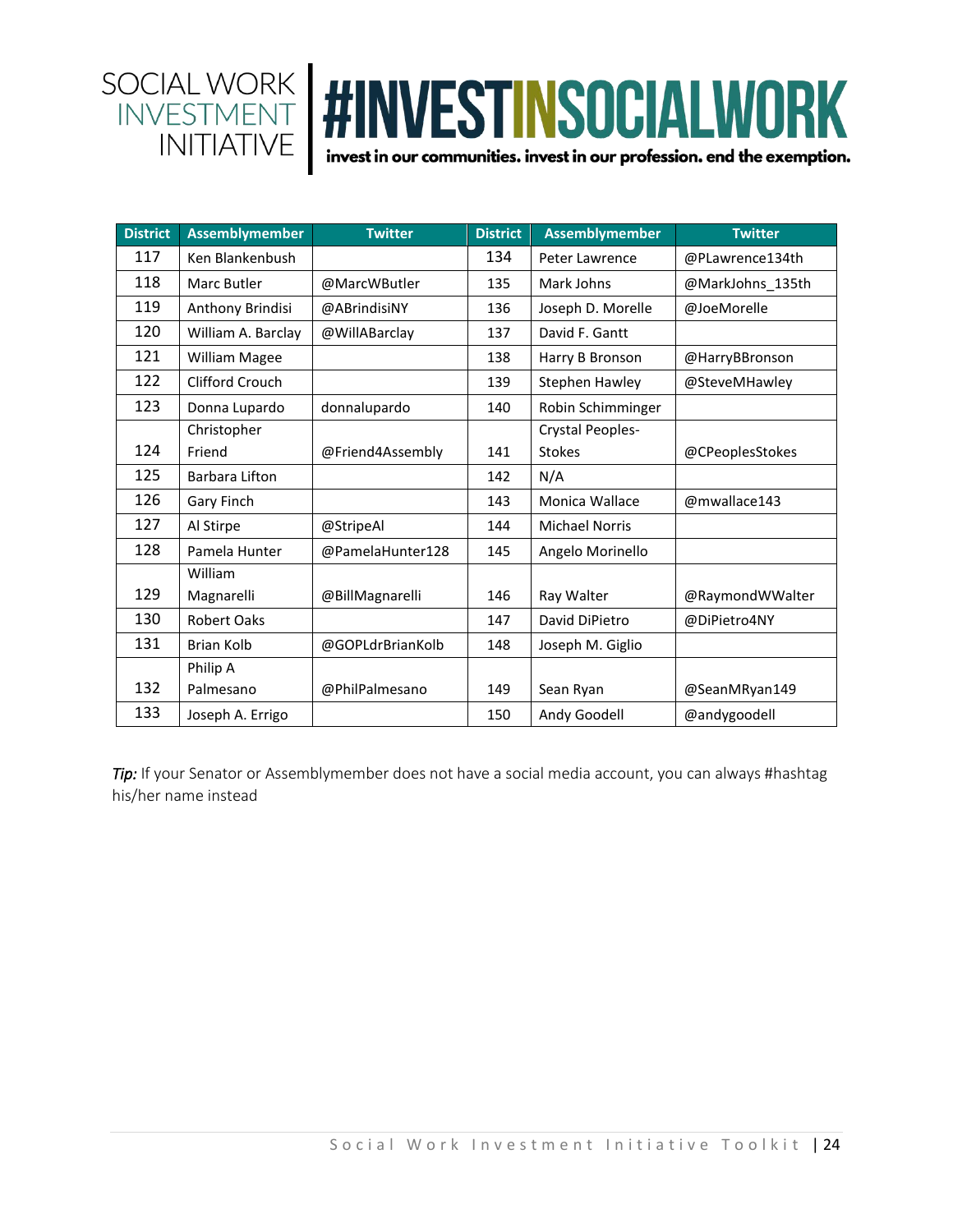

| <b>District</b> | <b>Assemblymember</b> | <b>Twitter</b>   | <b>District</b> | <b>Assemblymember</b> | <b>Twitter</b>   |
|-----------------|-----------------------|------------------|-----------------|-----------------------|------------------|
| 117             | Ken Blankenbush       |                  | 134             | Peter Lawrence        | @PLawrence134th  |
| 118             | Marc Butler           | @MarcWButler     | 135             | Mark Johns            | @MarkJohns_135th |
| 119             | Anthony Brindisi      | @ABrindisiNY     | 136             | Joseph D. Morelle     | @JoeMorelle      |
| 120             | William A. Barclay    | @WillABarclay    | 137             | David F. Gantt        |                  |
| 121             | William Magee         |                  | 138             | Harry B Bronson       | @HarryBBronson   |
| 122             | Clifford Crouch       |                  | 139             | Stephen Hawley        | @SteveMHawley    |
| 123             | Donna Lupardo         | donnalupardo     | 140             | Robin Schimminger     |                  |
|                 | Christopher           |                  |                 | Crystal Peoples-      |                  |
| 124             | Friend                | @Friend4Assembly | 141             | <b>Stokes</b>         | @CPeoplesStokes  |
| 125             | Barbara Lifton        |                  | 142             | N/A                   |                  |
| 126             | Gary Finch            |                  | 143             | <b>Monica Wallace</b> | @mwallace143     |
| 127             | Al Stirpe             | @StripeAl        | 144             | <b>Michael Norris</b> |                  |
| 128             | Pamela Hunter         | @PamelaHunter128 | 145             | Angelo Morinello      |                  |
|                 | William               |                  |                 |                       |                  |
| 129             | Magnarelli            | @BillMagnarelli  | 146             | Ray Walter            | @RaymondWWalter  |
| 130             | <b>Robert Oaks</b>    |                  | 147             | David DiPietro        | @DiPietro4NY     |
| 131             | <b>Brian Kolb</b>     | @GOPLdrBrianKolb | 148             | Joseph M. Giglio      |                  |
|                 | Philip A              |                  |                 |                       |                  |
| 132             | Palmesano             | @PhilPalmesano   | 149             | Sean Ryan             | @SeanMRyan149    |
| 133             | Joseph A. Errigo      |                  | 150             | Andy Goodell          | @andygoodell     |

**Tip:** If your Senator or Assemblymember does not have a social media account, you can always #hashtag his/her name instead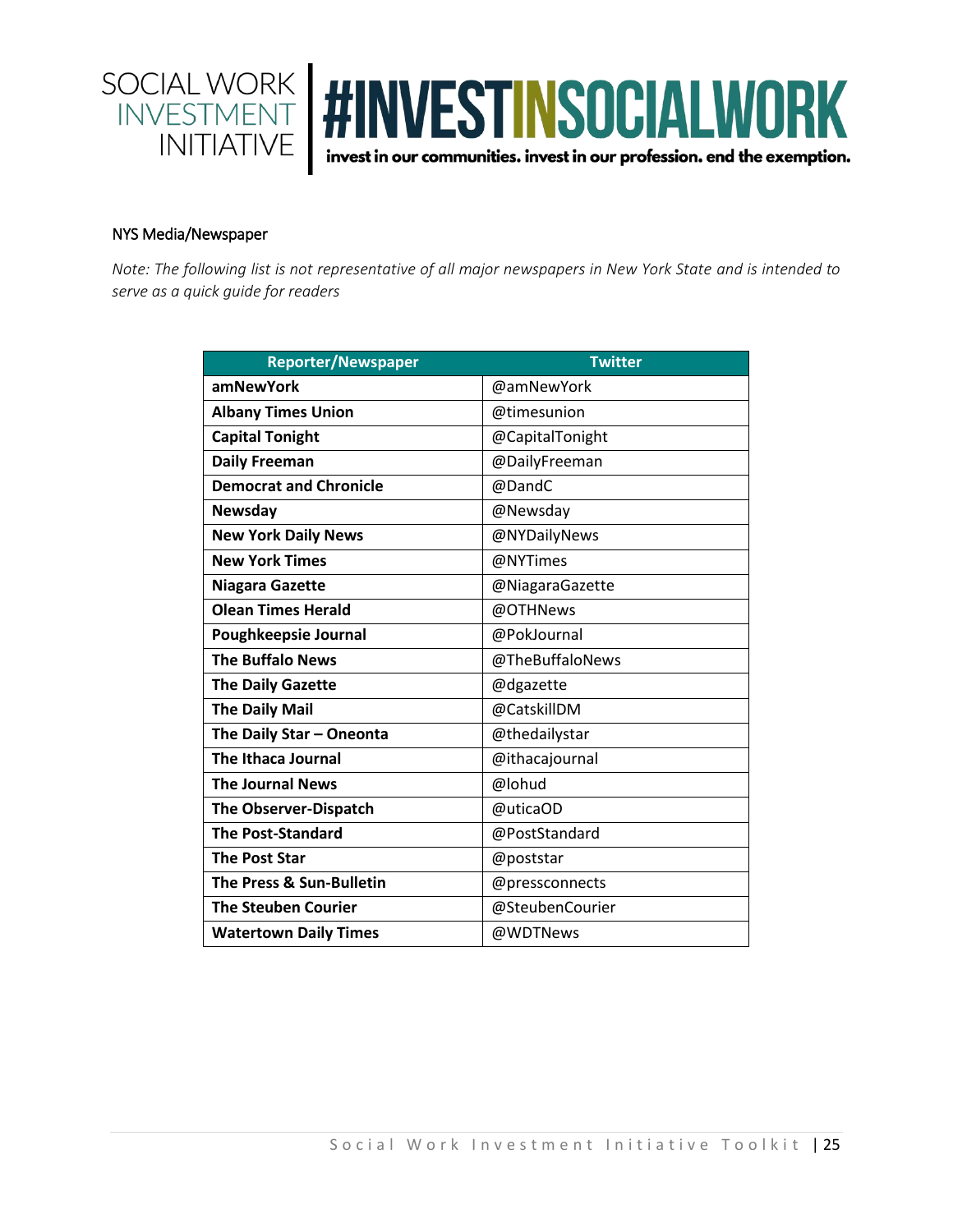

#### NYS Media/Newspaper

*Note: The following list is not representative of all major newspapers in New York State and is intended to serve as a quick guide for readers*

| <b>Reporter/Newspaper</b>     | <b>Twitter</b>  |
|-------------------------------|-----------------|
| amNewYork                     | @amNewYork      |
| <b>Albany Times Union</b>     | @timesunion     |
| <b>Capital Tonight</b>        | @CapitalTonight |
| <b>Daily Freeman</b>          | @DailyFreeman   |
| <b>Democrat and Chronicle</b> | @DandC          |
| Newsday                       | @Newsday        |
| <b>New York Daily News</b>    | @NYDailyNews    |
| <b>New York Times</b>         | @NYTimes        |
| <b>Niagara Gazette</b>        | @NiagaraGazette |
| <b>Olean Times Herald</b>     | @OTHNews        |
| Poughkeepsie Journal          | @PokJournal     |
| <b>The Buffalo News</b>       | @TheBuffaloNews |
| <b>The Daily Gazette</b>      | @dgazette       |
| <b>The Daily Mail</b>         | @CatskillDM     |
| The Daily Star - Oneonta      | @thedailystar   |
| <b>The Ithaca Journal</b>     | @ithacajournal  |
| <b>The Journal News</b>       | @lohud          |
| The Observer-Dispatch         | @uticaOD        |
| <b>The Post-Standard</b>      | @PostStandard   |
| <b>The Post Star</b>          | @poststar       |
| The Press & Sun-Bulletin      | @pressconnects  |
| <b>The Steuben Courier</b>    | @SteubenCourier |
| <b>Watertown Daily Times</b>  | @WDTNews        |